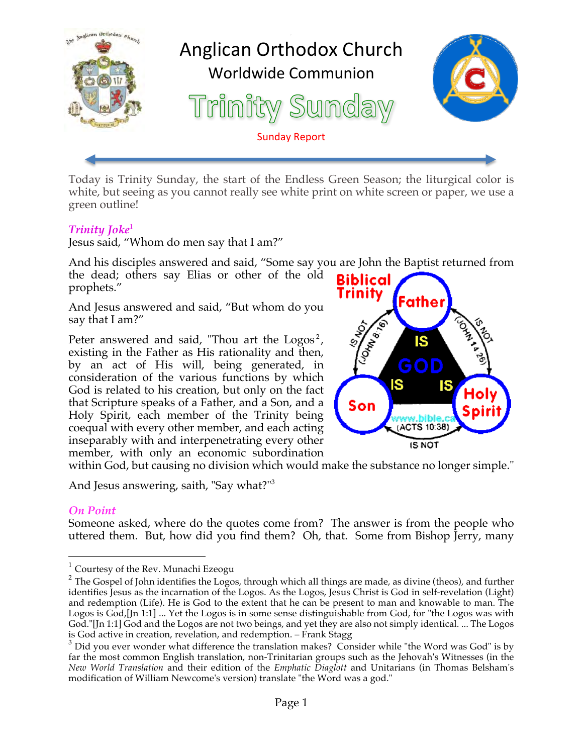

Today is Trinity Sunday, the start of the Endless Green Season; the liturgical color is white, but seeing as you cannot really see white print on white screen or paper, we use a green outline!

### **Trinity Joke**<sup>1</sup>

Jesus said, "Whom do men say that I am?"

And his disciples answered and said, "Some say you are John the Baptist returned from the dead; others say Elias or other of the old **Biblical** prophets."

And Jesus answered and said, "But whom do you say that I am?"

Peter answered and said, "Thou art the Logos<sup>2</sup>, existing in the Father as His rationality and then, by an act of His will, being generated, in consideration of the various functions by which God is related to his creation, but only on the fact that Scripture speaks of a Father, and a Son, and a Holy Spirit, each member of the Trinity being coequal with every other member, and each acting inseparably with and interpenetrating every other member, with only an economic subordination



within God, but causing no division which would make the substance no longer simple."

And Jesus answering, saith, "Say what?"<sup>3</sup>

### *On Point*

Someone asked, where do the quotes come from? The answer is from the people who uttered them. But, how did you find them? Oh, that. Some from Bishop Jerry, many

 $1$  Courtesy of the Rev. Munachi Ezeogu

<sup>&</sup>lt;sup>2</sup> The Gospel of John identifies the Logos, through which all things are made, as divine (theos), and further identifies Jesus as the incarnation of the Logos. As the Logos, Jesus Christ is God in self-revelation (Light) and redemption (Life). He is God to the extent that he can be present to man and knowable to man. The Logos is God, [Jn 1:1] ... Yet the Logos is in some sense distinguishable from God, for "the Logos was with God."[Jn 1:1] God and the Logos are not two beings, and yet they are also not simply identical. ... The Logos is God active in creation, revelation, and redemption. – Frank Stagg

 $3$  Did you ever wonder what difference the translation makes? Consider while "the Word was God" is by far the most common English translation, non-Trinitarian groups such as the Jehovah's Witnesses (in the *New World Translation* and their edition of the *Emphatic Diaglott* and Unitarians (in Thomas Belsham's modification of William Newcome's version) translate "the Word was a god."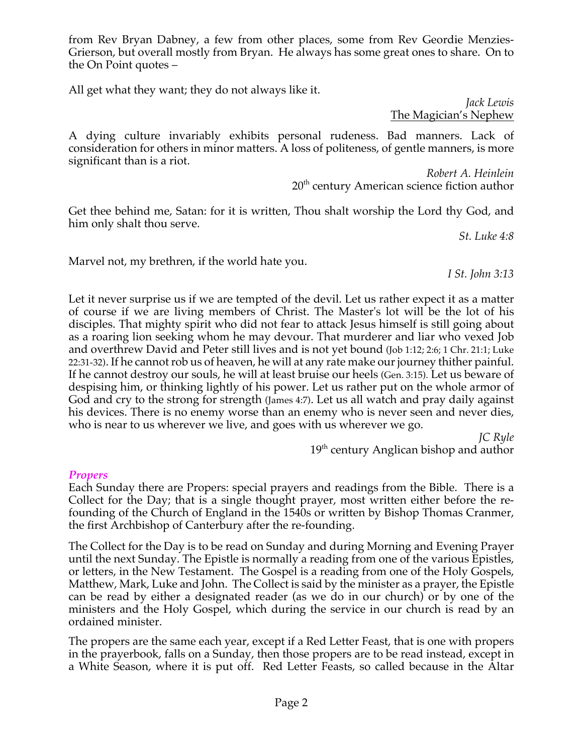from Rev Bryan Dabney, a few from other places, some from Rev Geordie Menzies-Grierson, but overall mostly from Bryan. He always has some great ones to share. On to the On Point quotes –

All get what they want; they do not always like it.

*Jack Lewis* The Magician's Nephew

A dying culture invariably exhibits personal rudeness. Bad manners. Lack of consideration for others in minor matters. A loss of politeness, of gentle manners, is more significant than is a riot.

> *Robert A. Heinlein* 20<sup>th</sup> century American science fiction author

Get thee behind me, Satan: for it is written, Thou shalt worship the Lord thy God, and him only shalt thou serve.

*St. Luke 4:8*

Marvel not, my brethren, if the world hate you.

*I St. John 3:13*

Let it never surprise us if we are tempted of the devil. Let us rather expect it as a matter of course if we are living members of Christ. The Master's lot will be the lot of his disciples. That mighty spirit who did not fear to attack Jesus himself is still going about as a roaring lion seeking whom he may devour. That murderer and liar who vexed Job and overthrew David and Peter still lives and is not yet bound (Job 1:12; 2:6; 1 Chr. 21:1; Luke 22:31-32). If he cannot rob us of heaven, he will at any rate make our journey thither painful. If he cannot destroy our souls, he will at least bruise our heels (Gen. 3:15). Let us beware of despising him, or thinking lightly of his power. Let us rather put on the whole armor of God and cry to the strong for strength (James 4:7). Let us all watch and pray daily against his devices. There is no enemy worse than an enemy who is never seen and never dies, who is near to us wherever we live, and goes with us wherever we go.

> *JC Ryle* 19<sup>th</sup> century Anglican bishop and author

### *Propers*

Each Sunday there are Propers: special prayers and readings from the Bible. There is a Collect for the Day; that is a single thought prayer, most written either before the refounding of the Church of England in the 1540s or written by Bishop Thomas Cranmer, the first Archbishop of Canterbury after the re-founding.

The Collect for the Day is to be read on Sunday and during Morning and Evening Prayer until the next Sunday. The Epistle is normally a reading from one of the various Epistles, or letters, in the New Testament. The Gospel is a reading from one of the Holy Gospels, Matthew, Mark, Luke and John. The Collect is said by the minister as a prayer, the Epistle can be read by either a designated reader (as we do in our church) or by one of the ministers and the Holy Gospel, which during the service in our church is read by an ordained minister.

The propers are the same each year, except if a Red Letter Feast, that is one with propers in the prayerbook, falls on a Sunday, then those propers are to be read instead, except in a White Season, where it is put off. Red Letter Feasts, so called because in the Altar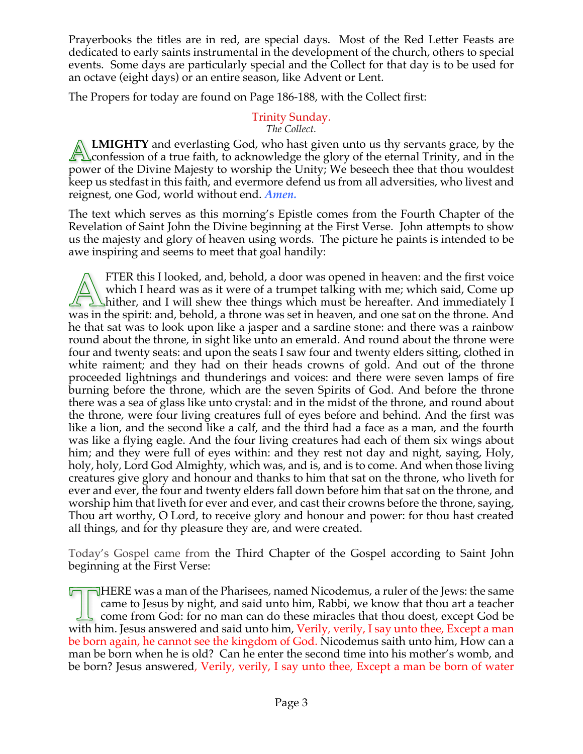Prayerbooks the titles are in red, are special days. Most of the Red Letter Feasts are dedicated to early saints instrumental in the development of the church, others to special events. Some days are particularly special and the Collect for that day is to be used for an octave (eight days) or an entire season, like Advent or Lent.

The Propers for today are found on Page 186-188, with the Collect first:

#### Trinity Sunday. *The Collect.*

**LMIGHTY** and everlasting God, who hast given unto us thy servants grace, by the  $\Delta$  confession of a true faith, to acknowledge the glory of the eternal Trinity, and in the power of the Divine Majesty to worship the Unity; We beseech thee that thou wouldest keep us stedfast in this faith, and evermore defend us from all adversities, who livest and reignest, one God, world without end. *Amen.*

The text which serves as this morning's Epistle comes from the Fourth Chapter of the Revelation of Saint John the Divine beginning at the First Verse. John attempts to show us the majesty and glory of heaven using words. The picture he paints is intended to be awe inspiring and seems to meet that goal handily:

FTER this I looked, and, behold, a door was opened in heaven: and the first voice which I heard was as it were of a trumpet talking with me; which said, Come up  $\angle$   $\angle$   $\angle$  hither, and I will shew thee things which must be hereafter. And immediately I was in the spirit: and, behold, a throne was set in heaven, and one sat on the throne. And he that sat was to look upon like a jasper and a sardine stone: and there was a rainbow round about the throne, in sight like unto an emerald. And round about the throne were four and twenty seats: and upon the seats I saw four and twenty elders sitting, clothed in white raiment; and they had on their heads crowns of gold. And out of the throne proceeded lightnings and thunderings and voices: and there were seven lamps of fire burning before the throne, which are the seven Spirits of God. And before the throne there was a sea of glass like unto crystal: and in the midst of the throne, and round about the throne, were four living creatures full of eyes before and behind. And the first was like a lion, and the second like a calf, and the third had a face as a man, and the fourth was like a flying eagle. And the four living creatures had each of them six wings about him; and they were full of eyes within: and they rest not day and night, saying, Holy, holy, holy, Lord God Almighty, which was, and is, and is to come. And when those living creatures give glory and honour and thanks to him that sat on the throne, who liveth for ever and ever, the four and twenty elders fall down before him that sat on the throne, and worship him that liveth for ever and ever, and cast their crowns before the throne, saying, Thou art worthy, O Lord, to receive glory and honour and power: for thou hast created all things, and for thy pleasure they are, and were created.

Today's Gospel came from the Third Chapter of the Gospel according to Saint John beginning at the First Verse:

 $\Box$  HERE was a man of the Pharisees, named Nicodemus, a ruler of the Jews: the same came to Jesus by night, and said unto him, Rabbi, we know that thou art a teacher come from God: for no man can do these miracles that thou doest, except God be with him. Jesus answered and said unto him, Verily, verily, I say unto thee, Except a man be born again, he cannot see the kingdom of God. Nicodemus saith unto him, How can a man be born when he is old? Can he enter the second time into his mother's womb, and be born? Jesus answered, Verily, verily, I say unto thee, Except a man be born of water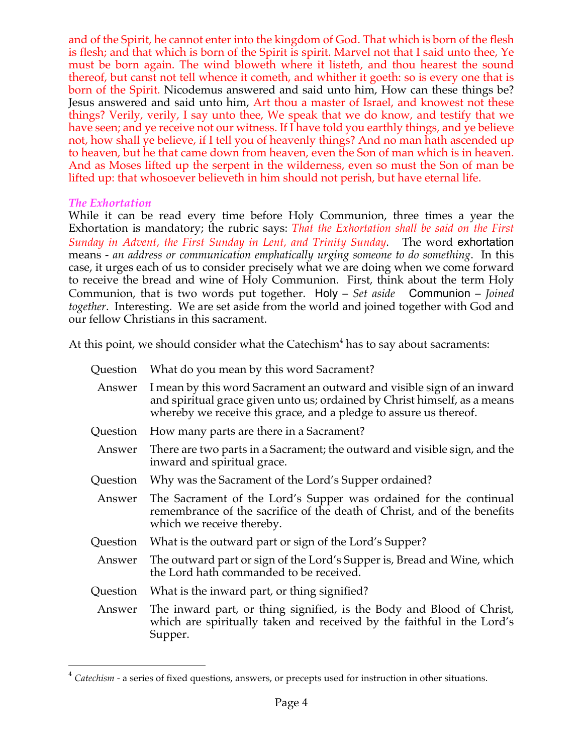and of the Spirit, he cannot enter into the kingdom of God. That which is born of the flesh is flesh; and that which is born of the Spirit is spirit. Marvel not that I said unto thee, Ye must be born again. The wind bloweth where it listeth, and thou hearest the sound thereof, but canst not tell whence it cometh, and whither it goeth: so is every one that is born of the Spirit. Nicodemus answered and said unto him, How can these things be? Jesus answered and said unto him, Art thou a master of Israel, and knowest not these things? Verily, verily, I say unto thee, We speak that we do know, and testify that we have seen; and ye receive not our witness. If I have told you earthly things, and ye believe not, how shall ye believe, if I tell you of heavenly things? And no man hath ascended up to heaven, but he that came down from heaven, even the Son of man which is in heaven. And as Moses lifted up the serpent in the wilderness, even so must the Son of man be lifted up: that whosoever believeth in him should not perish, but have eternal life.

### *The Exhortation*

While it can be read every time before Holy Communion, three times a year the Exhortation is mandatory; the rubric says: *That the Exhortation shall be said on the First Sunday in Advent, the First Sunday in Lent, and Trinity Sunday*. The word exhortation means - *an address or communication emphatically urging someone to do something*. In this case, it urges each of us to consider precisely what we are doing when we come forward to receive the bread and wine of Holy Communion. First, think about the term Holy Communion, that is two words put together. Holy – *Set aside* Communion – *Joined together*. Interesting. We are set aside from the world and joined together with God and our fellow Christians in this sacrament.

At this point, we should consider what the Catechism<sup>4</sup> has to say about sacraments:

| Question | What do you mean by this word Sacrament?                                                                                                                                                                                 |
|----------|--------------------------------------------------------------------------------------------------------------------------------------------------------------------------------------------------------------------------|
| Answer   | I mean by this word Sacrament an outward and visible sign of an inward<br>and spiritual grace given unto us; ordained by Christ himself, as a means<br>whereby we receive this grace, and a pledge to assure us thereof. |
| Question | How many parts are there in a Sacrament?                                                                                                                                                                                 |
| Answer   | There are two parts in a Sacrament; the outward and visible sign, and the<br>inward and spiritual grace.                                                                                                                 |
| Question | Why was the Sacrament of the Lord's Supper ordained?                                                                                                                                                                     |
| Answer   | The Sacrament of the Lord's Supper was ordained for the continual<br>remembrance of the sacrifice of the death of Christ, and of the benefits<br>which we receive thereby.                                               |
| Question | What is the outward part or sign of the Lord's Supper?                                                                                                                                                                   |
| Answer   | The outward part or sign of the Lord's Supper is, Bread and Wine, which<br>the Lord hath commanded to be received.                                                                                                       |
| Question | What is the inward part, or thing signified?                                                                                                                                                                             |
| Answer   | The inward part, or thing signified, is the Body and Blood of Christ,<br>which are spiritually taken and received by the faithful in the Lord's<br>Supper.                                                               |

<sup>&</sup>lt;sup>4</sup> Catechism - a series of fixed questions, answers, or precepts used for instruction in other situations.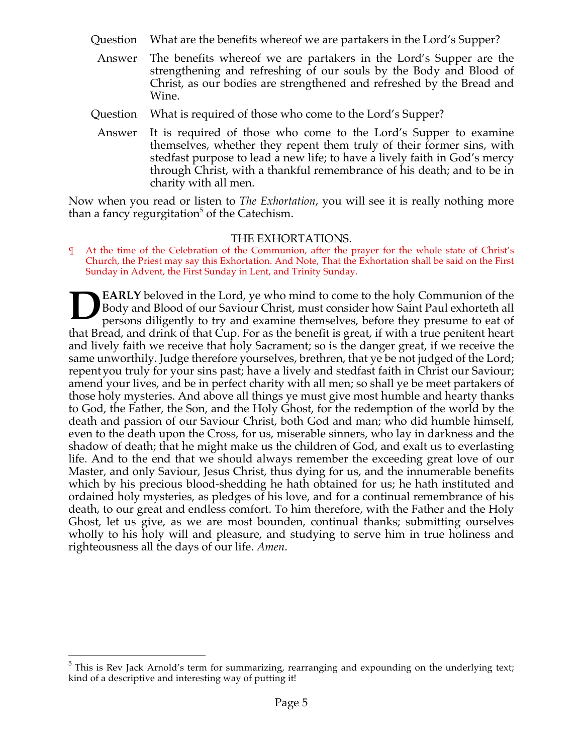- Question What are the benefits whereof we are partakers in the Lord's Supper?
- Answer The benefits whereof we are partakers in the Lord's Supper are the strengthening and refreshing of our souls by the Body and Blood of Christ, as our bodies are strengthened and refreshed by the Bread and Wine.
- Question What is required of those who come to the Lord's Supper?
- Answer It is required of those who come to the Lord's Supper to examine themselves, whether they repent them truly of their former sins, with stedfast purpose to lead a new life; to have a lively faith in God's mercy through Christ, with a thankful remembrance of his death; and to be in charity with all men.

Now when you read or listen to *The Exhortation*, you will see it is really nothing more than a fancy regurgitation<sup> $\delta$ </sup> of the Catechism.

#### THE EXHORTATIONS.

¶ At the time of the Celebration of the Communion, after the prayer for the whole state of Christ's Church, the Priest may say this Exhortation. And Note, That the Exhortation shall be said on the First Sunday in Advent, the First Sunday in Lent, and Trinity Sunday.

**EARLY** beloved in the Lord, ye who mind to come to the holy Communion of the Body and Blood of our Saviour Christ, must consider how Saint Paul exhorteth all persons diligently to try and examine themselves, before they presume to eat of that Bread, and drink of that Cup. For as the benefit is great, if with a true penitent heart and lively faith we receive that holy Sacrament; so is the danger great, if we receive the same unworthily. Judge therefore yourselves, brethren, that ye be not judged of the Lord; repentyou truly for your sins past; have a lively and stedfast faith in Christ our Saviour; amend your lives, and be in perfect charity with all men; so shall ye be meet partakers of those holy mysteries. And above all things ye must give most humble and hearty thanks to God, the Father, the Son, and the Holy Ghost, for the redemption of the world by the death and passion of our Saviour Christ, both God and man; who did humble himself, even to the death upon the Cross, for us, miserable sinners, who lay in darkness and the shadow of death; that he might make us the children of God, and exalt us to everlasting life. And to the end that we should always remember the exceeding great love of our Master, and only Saviour, Jesus Christ, thus dying for us, and the innumerable benefits which by his precious blood-shedding he hath obtained for us; he hath instituted and ordained holy mysteries, as pledges of his love, and for a continual remembrance of his death, to our great and endless comfort. To him therefore, with the Father and the Holy Ghost, let us give, as we are most bounden, continual thanks; submitting ourselves wholly to his holy will and pleasure, and studying to serve him in true holiness and righteousness all the days of our life. *Amen*. **D**

<sup>&</sup>lt;sup>5</sup> This is Rev Jack Arnold's term for summarizing, rearranging and expounding on the underlying text; kind of a descriptive and interesting way of putting it!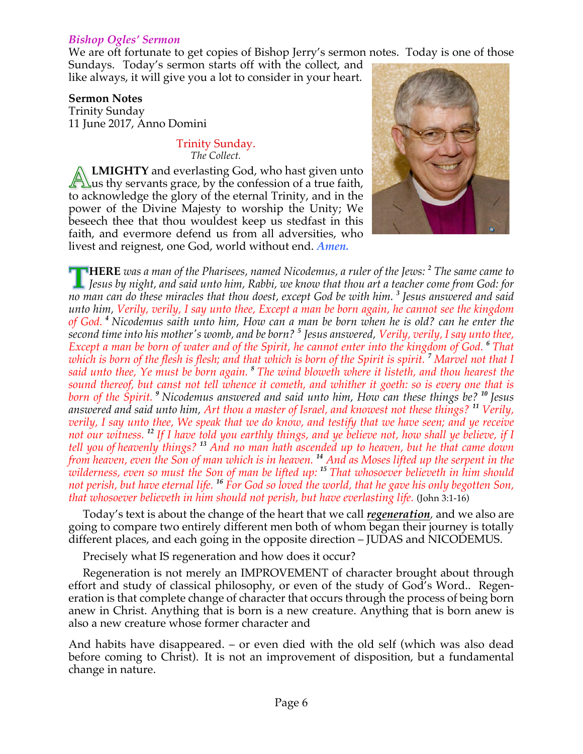### *Bishop Ogles' Sermon*

We are oft fortunate to get copies of Bishop Jerry's sermon notes. Today is one of those

Sundays. Today's sermon starts off with the collect, and like always, it will give you a lot to consider in your heart.

### **Sermon Notes**

Trinity Sunday 11 June 2017, Anno Domini

#### Trinity Sunday. *The Collect.*

**LMIGHTY** and everlasting God, who hast given unto  $\sqrt{\frac{1}{2}}\}$ us thy servants grace, by the confession of a true faith, to acknowledge the glory of the eternal Trinity, and in the power of the Divine Majesty to worship the Unity; We beseech thee that thou wouldest keep us stedfast in this faith, and evermore defend us from all adversities, who livest and reignest, one God, world without end. *Amen.*



**HERE** *was a man of the Pharisees, named Nicodemus, a ruler of the Jews: <sup>2</sup> The same came to Jesus by night, and said unto him, Rabbi, we know that thou art a teacher come from God: for no man can do these miracles that thou doest, except God be with him. <sup>3</sup> Jesus answered and said unto him, Verily, verily, I say unto thee, Except a man be born again, he cannot see the kingdom of God. <sup>4</sup> Nicodemus saith unto him, How can a man be born when he is old? can he enter the second time into his mother's womb, and be born? <sup>5</sup> Jesus answered, Verily, verily, I say unto thee, Except a man be born of water and of the Spirit, he cannot enter into the kingdom of God. <sup>6</sup> That which is born of the flesh is flesh; and that which is born of the Spirit is spirit. <sup>7</sup> Marvel not that I said unto thee, Ye must be born again. <sup>8</sup> The wind bloweth where it listeth, and thou hearest the sound thereof, but canst not tell whence it cometh, and whither it goeth: so is every one that is born of the Spirit. <sup>9</sup> Nicodemus answered and said unto him, How can these things be? <sup>10</sup> Jesus answered and said unto him, Art thou a master of Israel, and knowest not these things? <sup>11</sup> Verily, verily, I say unto thee, We speak that we do know, and testify that we have seen; and ye receive not our witness. <sup>12</sup> If I have told you earthly things, and ye believe not, how shall ye believe, if I tell you of heavenly things? <sup>13</sup> And no man hath ascended up to heaven, but he that came down from heaven, even the Son of man which is in heaven. <sup>14</sup> And as Moses lifted up the serpent in the wilderness, even so must the Son of man be lifted up: <sup>15</sup> That whosoever believeth in him should not perish, but have eternal life. <sup>16</sup> For God so loved the world, that he gave his only begotten Son, that whosoever believeth in him should not perish, but have everlasting life.* (John 3:1-16)

Today's text is about the change of the heart that we call *regeneration,* and we also are going to compare two entirely different men both of whom began their journey is totally different places, and each going in the opposite direction – JUDAS and NICODEMUS.

Precisely what IS regeneration and how does it occur?

Regeneration is not merely an IMPROVEMENT of character brought about through effort and study of classical philosophy, or even of the study of God's Word.. Regeneration is that complete change of character that occurs through the process of being born anew in Christ. Anything that is born is a new creature. Anything that is born anew is also a new creature whose former character and

And habits have disappeared. – or even died with the old self (which was also dead before coming to Christ). It is not an improvement of disposition, but a fundamental change in nature.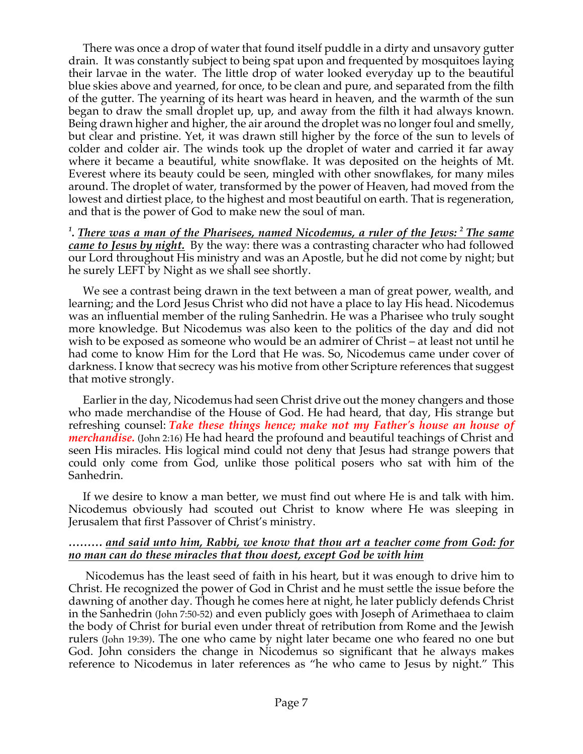There was once a drop of water that found itself puddle in a dirty and unsavory gutter drain. It was constantly subject to being spat upon and frequented by mosquitoes laying their larvae in the water. The little drop of water looked everyday up to the beautiful blue skies above and yearned, for once, to be clean and pure, and separated from the filth of the gutter. The yearning of its heart was heard in heaven, and the warmth of the sun began to draw the small droplet up, up, and away from the filth it had always known. Being drawn higher and higher, the air around the droplet was no longer foul and smelly, but clear and pristine. Yet, it was drawn still higher by the force of the sun to levels of colder and colder air. The winds took up the droplet of water and carried it far away where it became a beautiful, white snowflake. It was deposited on the heights of Mt. Everest where its beauty could be seen, mingled with other snowflakes, for many miles around. The droplet of water, transformed by the power of Heaven, had moved from the lowest and dirtiest place, to the highest and most beautiful on earth. That is regeneration, and that is the power of God to make new the soul of man.

*1 . There was a man of the Pharisees, named Nicodemus, a ruler of the Jews: <sup>2</sup> The same came to Jesus by night.* By the way: there was a contrasting character who had followed our Lord throughout His ministry and was an Apostle, but he did not come by night; but he surely LEFT by Night as we shall see shortly.

We see a contrast being drawn in the text between a man of great power, wealth, and learning; and the Lord Jesus Christ who did not have a place to lay His head. Nicodemus was an influential member of the ruling Sanhedrin. He was a Pharisee who truly sought more knowledge. But Nicodemus was also keen to the politics of the day and did not wish to be exposed as someone who would be an admirer of Christ – at least not until he had come to know Him for the Lord that He was. So, Nicodemus came under cover of darkness. I know that secrecy was his motive from other Scripture references that suggest that motive strongly.

Earlier in the day, Nicodemus had seen Christ drive out the money changers and those who made merchandise of the House of God. He had heard, that day, His strange but refreshing counsel: *Take these things hence; make not my Father's house an house of merchandise.* (John 2:16) He had heard the profound and beautiful teachings of Christ and seen His miracles. His logical mind could not deny that Jesus had strange powers that could only come from God, unlike those political posers who sat with him of the Sanhedrin.

If we desire to know a man better, we must find out where He is and talk with him. Nicodemus obviously had scouted out Christ to know where He was sleeping in Jerusalem that first Passover of Christ's ministry.

#### *……… and said unto him, Rabbi, we know that thou art a teacher come from God: for no man can do these miracles that thou doest, except God be with him*

Nicodemus has the least seed of faith in his heart, but it was enough to drive him to Christ. He recognized the power of God in Christ and he must settle the issue before the dawning of another day. Though he comes here at night, he later publicly defends Christ in the Sanhedrin (John 7:50-52) and even publicly goes with Joseph of Arimethaea to claim the body of Christ for burial even under threat of retribution from Rome and the Jewish rulers (John 19:39). The one who came by night later became one who feared no one but God. John considers the change in Nicodemus so significant that he always makes reference to Nicodemus in later references as "he who came to Jesus by night." This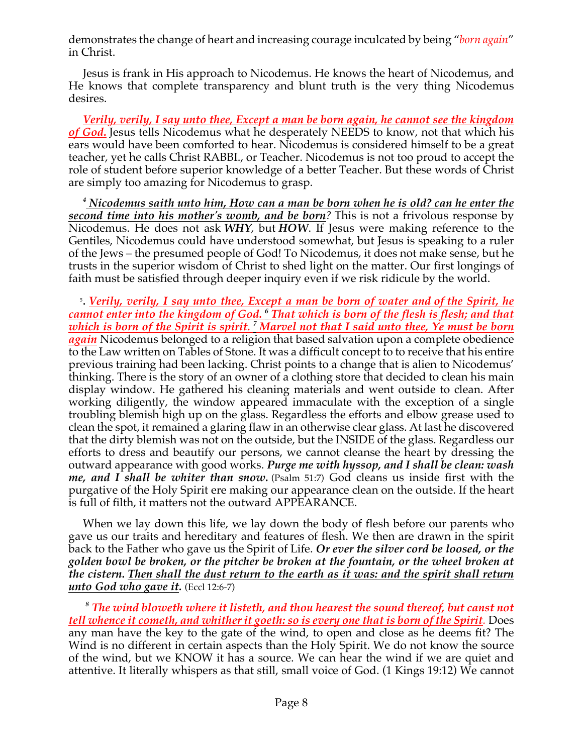demonstrates the change of heart and increasing courage inculcated by being "*born again*" in Christ.

Jesus is frank in His approach to Nicodemus. He knows the heart of Nicodemus, and He knows that complete transparency and blunt truth is the very thing Nicodemus desires.

*Verily, verily, I say unto thee, Except a man be born again, he cannot see the kingdom of God.* Jesus tells Nicodemus what he desperately NEEDS to know, not that which his ears would have been comforted to hear. Nicodemus is considered himself to be a great teacher, yet he calls Christ RABBI., or Teacher. Nicodemus is not too proud to accept the role of student before superior knowledge of a better Teacher. But these words of Christ are simply too amazing for Nicodemus to grasp.

*<sup>4</sup> Nicodemus saith unto him, How can a man be born when he is old? can he enter the second time into his mother's womb, and be born?* This is not a frivolous response by Nicodemus. He does not ask *WHY*, but *HOW*. If Jesus were making reference to the Gentiles, Nicodemus could have understood somewhat, but Jesus is speaking to a ruler of the Jews – the presumed people of God! To Nicodemus, it does not make sense, but he trusts in the superior wisdom of Christ to shed light on the matter. Our first longings of faith must be satisfied through deeper inquiry even if we risk ridicule by the world.

5 . *Verily, verily, I say unto thee, Except a man be born of water and of the Spirit, he cannot enter into the kingdom of God. <sup>6</sup> That which is born of the flesh is flesh; and that which is born of the Spirit is spirit. <sup>7</sup> Marvel not that I said unto thee, Ye must be born again* Nicodemus belonged to a religion that based salvation upon a complete obedience to the Law written on Tables of Stone. It was a difficult concept to to receive that his entire previous training had been lacking. Christ points to a change that is alien to Nicodemus' thinking. There is the story of an owner of a clothing store that decided to clean his main display window. He gathered his cleaning materials and went outside to clean. After working diligently, the window appeared immaculate with the exception of a single troubling blemish high up on the glass. Regardless the efforts and elbow grease used to clean the spot, it remained a glaring flaw in an otherwise clear glass. At last he discovered that the dirty blemish was not on the outside, but the INSIDE of the glass. Regardless our efforts to dress and beautify our persons, we cannot cleanse the heart by dressing the outward appearance with good works. *Purge me with hyssop, and I shall be clean: wash me, and I shall be whiter than snow.* (Psalm 51:7) God cleans us inside first with the purgative of the Holy Spirit ere making our appearance clean on the outside. If the heart is full of filth, it matters not the outward APPEARANCE.

When we lay down this life, we lay down the body of flesh before our parents who gave us our traits and hereditary and features of flesh. We then are drawn in the spirit back to the Father who gave us the Spirit of Life. *Or ever the silver cord be loosed, or the golden bowl be broken, or the pitcher be broken at the fountain, or the wheel broken at the cistern. Then shall the dust return to the earth as it was: and the spirit shall return unto God who gave it.* (Eccl 12:6-7)

*<sup>8</sup> The wind bloweth where it listeth, and thou hearest the sound thereof, but canst not tell whence it cometh, and whither it goeth: so is every one that is born of the Spirit.* Does any man have the key to the gate of the wind, to open and close as he deems fit? The Wind is no different in certain aspects than the Holy Spirit. We do not know the source of the wind, but we KNOW it has a source. We can hear the wind if we are quiet and attentive. It literally whispers as that still, small voice of God. (1 Kings 19:12) We cannot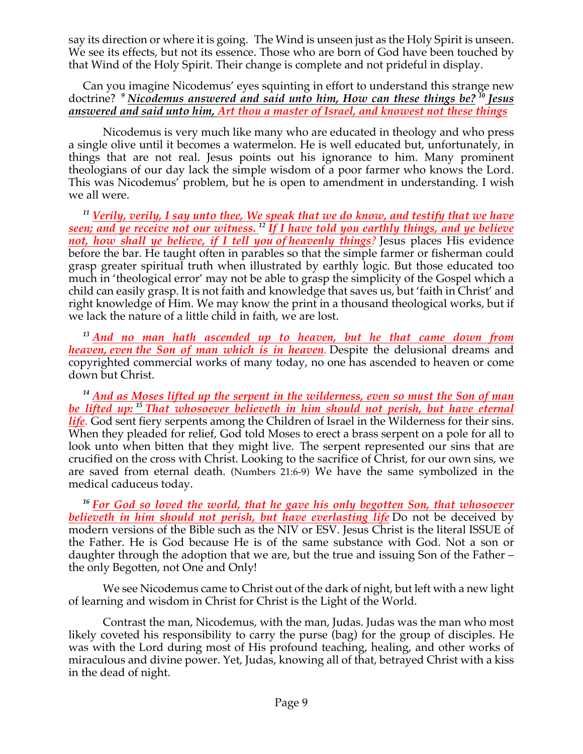say its direction or where it is going. The Wind is unseen just as the Holy Spirit is unseen. We see its effects, but not its essence. Those who are born of God have been touched by that Wind of the Holy Spirit. Their change is complete and not prideful in display.

Can you imagine Nicodemus' eyes squinting in effort to understand this strange new doctrine? *<sup>9</sup> Nicodemus answered and said unto him, How can these things be? <sup>10</sup> Jesus answered and said unto him, Art thou a master of Israel, and knowest not these things*

Nicodemus is very much like many who are educated in theology and who press a single olive until it becomes a watermelon. He is well educated but, unfortunately, in things that are not real. Jesus points out his ignorance to him. Many prominent theologians of our day lack the simple wisdom of a poor farmer who knows the Lord. This was Nicodemus' problem, but he is open to amendment in understanding. I wish we all were.

*<sup>11</sup> Verily, verily, I say unto thee, We speak that we do know, and testify that we have seen; and ye receive not our witness. <sup>12</sup> If I have told you earthly things, and ye believe not, how shall ye believe, if I tell you of heavenly things?* Jesus places His evidence before the bar. He taught often in parables so that the simple farmer or fisherman could grasp greater spiritual truth when illustrated by earthly logic. But those educated too much in 'theological error' may not be able to grasp the simplicity of the Gospel which a child can easily grasp. It is not faith and knowledge that saves us, but 'faith in Christ' and right knowledge of Him. We may know the print in a thousand theological works, but if we lack the nature of a little child in faith, we are lost.

*<sup>13</sup> And no man hath ascended up to heaven, but he that came down from heaven, even the Son of man which is in heaven.* Despite the delusional dreams and copyrighted commercial works of many today, no one has ascended to heaven or come down but Christ.

*<sup>14</sup> And as Moses lifted up the serpent in the wilderness, even so must the Son of man be lifted up: <sup>15</sup> That whosoever believeth in him should not perish, but have eternal life.* God sent fiery serpents among the Children of Israel in the Wilderness for their sins. When they pleaded for relief, God told Moses to erect a brass serpent on a pole for all to look unto when bitten that they might live. The serpent represented our sins that are crucified on the cross with Christ. Looking to the sacrifice of Christ, for our own sins, we are saved from eternal death. (Numbers 21:6-9) We have the same symbolized in the medical caduceus today.

*<sup>16</sup> For God so loved the world, that he gave his only begotten Son, that whosoever believeth in him should not perish, but have everlasting life* Do not be deceived by modern versions of the Bible such as the NIV or ESV. Jesus Christ is the literal ISSUE of the Father. He is God because He is of the same substance with God. Not a son or daughter through the adoption that we are, but the true and issuing Son of the Father – the only Begotten, not One and Only!

We see Nicodemus came to Christ out of the dark of night, but left with a new light of learning and wisdom in Christ for Christ is the Light of the World.

Contrast the man, Nicodemus, with the man, Judas. Judas was the man who most likely coveted his responsibility to carry the purse (bag) for the group of disciples. He was with the Lord during most of His profound teaching, healing, and other works of miraculous and divine power. Yet, Judas, knowing all of that, betrayed Christ with a kiss in the dead of night.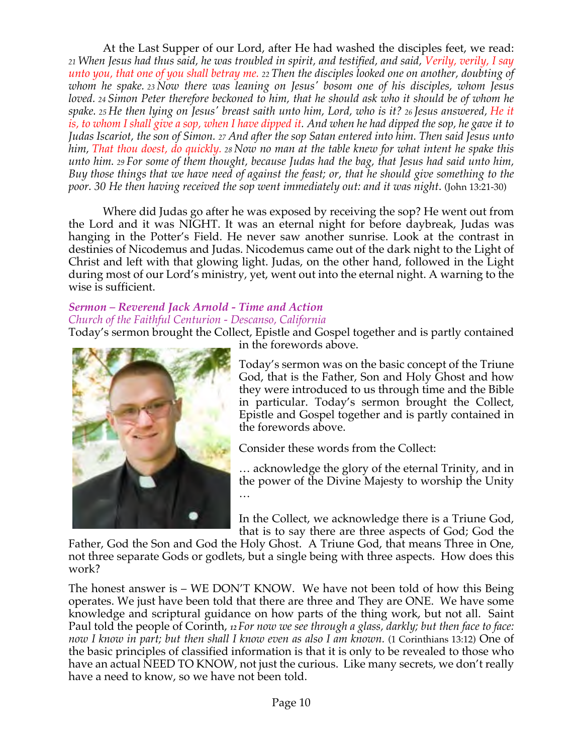At the Last Supper of our Lord, after He had washed the disciples feet, we read: *<sup>21</sup> When Jesus had thus said, he was troubled in spirit, and testified, and said, Verily, verily, I say unto you, that one of you shall betray me. <sup>22</sup> Then the disciples looked one on another, doubting of whom he spake. <sup>23</sup> Now there was leaning on Jesus' bosom one of his disciples, whom Jesus loved. <sup>24</sup> Simon Peter therefore beckoned to him, that he should ask who it should be of whom he spake. <sup>25</sup> He then lying on Jesus' breast saith unto him, Lord, who is it? <sup>26</sup> Jesus answered, He it is, to whom I shall give a sop, when I have dipped it. And when he had dipped the sop, he gave it to Judas Iscariot, the son of Simon. <sup>27</sup> And after the sop Satan entered into him. Then said Jesus unto him, That thou doest, do quickly. <sup>28</sup> Now no man at the table knew for what intent he spake this unto him. <sup>29</sup> For some of them thought, because Judas had the bag, that Jesus had said unto him, Buy those things that we have need of against the feast; or, that he should give something to the poor. 30 He then having received the sop went immediately out: and it was night*. (John 13:21-30)

Where did Judas go after he was exposed by receiving the sop? He went out from the Lord and it was NIGHT. It was an eternal night for before daybreak, Judas was hanging in the Potter's Field. He never saw another sunrise. Look at the contrast in destinies of Nicodemus and Judas. Nicodemus came out of the dark night to the Light of Christ and left with that glowing light. Judas, on the other hand, followed in the Light during most of our Lord's ministry, yet, went out into the eternal night. A warning to the wise is sufficient.

### *Sermon – Reverend Jack Arnold - Time and Action Church of the Faithful Centurion - Descanso, California*

Today's sermon brought the Collect, Epistle and Gospel together and is partly contained



in the forewords above.

Today's sermon was on the basic concept of the Triune God, that is the Father, Son and Holy Ghost and how they were introduced to us through time and the Bible in particular. Today's sermon brought the Collect, Epistle and Gospel together and is partly contained in the forewords above.

Consider these words from the Collect:

… acknowledge the glory of the eternal Trinity, and in the power of the Divine Majesty to worship the Unity …

In the Collect, we acknowledge there is a Triune God, that is to say there are three aspects of God; God the

Father, God the Son and God the Holy Ghost. A Triune God, that means Three in One, not three separate Gods or godlets, but a single being with three aspects. How does this work?

The honest answer is – WE DON'T KNOW. We have not been told of how this Being operates. We just have been told that there are three and They are ONE. We have some knowledge and scriptural guidance on how parts of the thing work, but not all. Saint Paul told the people of Corinth, *<sup>12</sup> For now we see through a glass, darkly; but then face to face: now I know in part; but then shall I know even as also I am known.* (1 Corinthians 13:12) One of the basic principles of classified information is that it is only to be revealed to those who have an actual NEED TO KNOW, not just the curious. Like many secrets, we don't really have a need to know, so we have not been told.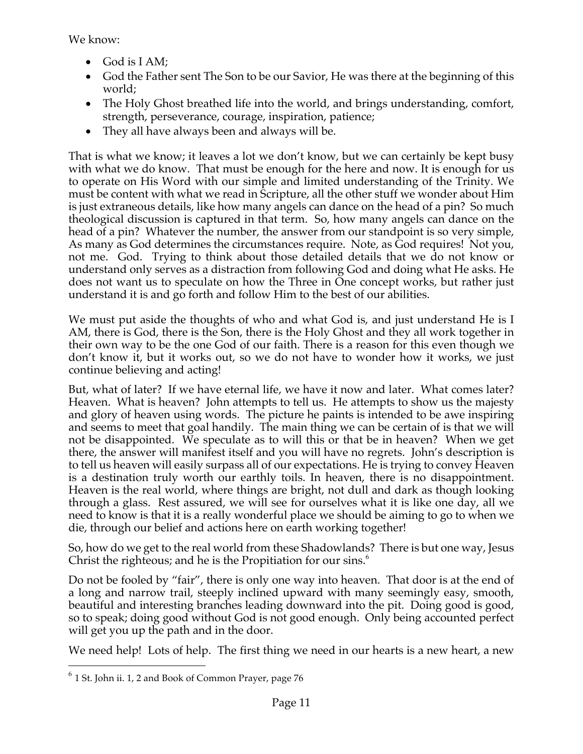We know:

- God is I AM;
- God the Father sent The Son to be our Savior, He was there at the beginning of this world;
- The Holy Ghost breathed life into the world, and brings understanding, comfort, strength, perseverance, courage, inspiration, patience;
- They all have always been and always will be.

That is what we know; it leaves a lot we don't know, but we can certainly be kept busy with what we do know. That must be enough for the here and now. It is enough for us to operate on His Word with our simple and limited understanding of the Trinity. We must be content with what we read in Scripture, all the other stuff we wonder about Him is just extraneous details, like how many angels can dance on the head of a pin? So much theological discussion is captured in that term. So, how many angels can dance on the head of a pin? Whatever the number, the answer from our standpoint is so very simple, As many as God determines the circumstances require. Note, as God requires! Not you, not me. God. Trying to think about those detailed details that we do not know or understand only serves as a distraction from following God and doing what He asks. He does not want us to speculate on how the Three in One concept works, but rather just understand it is and go forth and follow Him to the best of our abilities.

We must put aside the thoughts of who and what God is, and just understand He is I AM, there is God, there is the Son, there is the Holy Ghost and they all work together in their own way to be the one God of our faith. There is a reason for this even though we don't know it, but it works out, so we do not have to wonder how it works, we just continue believing and acting!

But, what of later? If we have eternal life, we have it now and later. What comes later? Heaven. What is heaven? John attempts to tell us. He attempts to show us the majesty and glory of heaven using words. The picture he paints is intended to be awe inspiring and seems to meet that goal handily. The main thing we can be certain of is that we will not be disappointed. We speculate as to will this or that be in heaven? When we get there, the answer will manifest itself and you will have no regrets. John's description is to tell us heaven will easily surpass all of our expectations. He is trying to convey Heaven is a destination truly worth our earthly toils. In heaven, there is no disappointment. Heaven is the real world, where things are bright, not dull and dark as though looking through a glass. Rest assured, we will see for ourselves what it is like one day, all we need to know is that it is a really wonderful place we should be aiming to go to when we die, through our belief and actions here on earth working together!

So, how do we get to the real world from these Shadowlands? There is but one way, Jesus Christ the righteous; and he is the Propitiation for our sins.<sup>6</sup>

Do not be fooled by "fair", there is only one way into heaven. That door is at the end of a long and narrow trail, steeply inclined upward with many seemingly easy, smooth, beautiful and interesting branches leading downward into the pit. Doing good is good, so to speak; doing good without God is not good enough. Only being accounted perfect will get you up the path and in the door.

We need help! Lots of help. The first thing we need in our hearts is a new heart, a new

 $6$  1 St. John ii. 1, 2 and Book of Common Prayer, page 76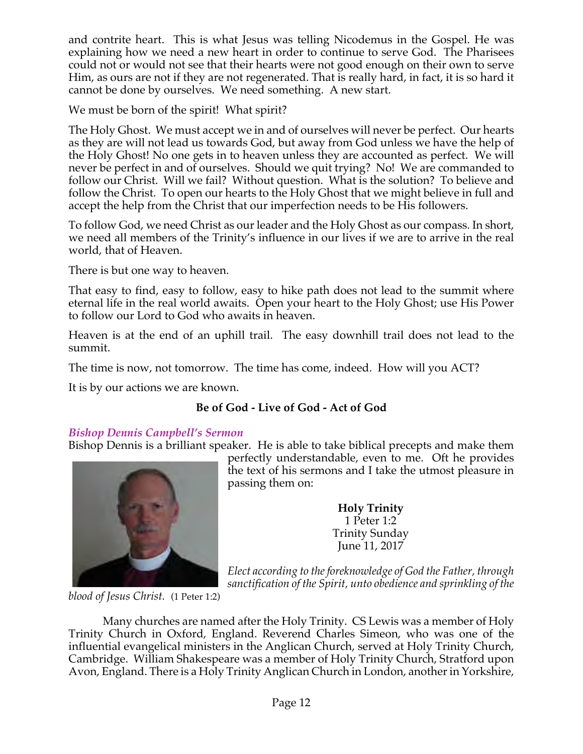and contrite heart. This is what Jesus was telling Nicodemus in the Gospel. He was explaining how we need a new heart in order to continue to serve God. The Pharisees could not or would not see that their hearts were not good enough on their own to serve Him, as ours are not if they are not regenerated. That is really hard, in fact, it is so hard it cannot be done by ourselves. We need something. A new start.

We must be born of the spirit! What spirit?

The Holy Ghost. We must accept we in and of ourselves will never be perfect. Our hearts as they are will not lead us towards God, but away from God unless we have the help of the Holy Ghost! No one gets in to heaven unless they are accounted as perfect. We will never be perfect in and of ourselves. Should we quit trying? No! We are commanded to follow our Christ. Will we fail? Without question. What is the solution? To believe and follow the Christ. To open our hearts to the Holy Ghost that we might believe in full and accept the help from the Christ that our imperfection needs to be His followers.

To follow God, we need Christ as our leader and the Holy Ghost as our compass. In short, we need all members of the Trinity's influence in our lives if we are to arrive in the real world, that of Heaven.

There is but one way to heaven.

That easy to find, easy to follow, easy to hike path does not lead to the summit where eternal life in the real world awaits. Open your heart to the Holy Ghost; use His Power to follow our Lord to God who awaits in heaven.

Heaven is at the end of an uphill trail. The easy downhill trail does not lead to the summit.

The time is now, not tomorrow. The time has come, indeed. How will you ACT?

It is by our actions we are known.

## **Be of God - Live of God - Act of God**

### *Bishop Dennis Campbell's Sermon*

Bishop Dennis is a brilliant speaker. He is able to take biblical precepts and make them



perfectly understandable, even to me. Oft he provides the text of his sermons and I take the utmost pleasure in passing them on:

> **Holy Trinity** 1 Peter 1:2 Trinity Sunday June 11, 2017

*Elect according to theforeknowledge of God the Father, through sanctification of the Spirit, unto obedience and sprinkling of the*

*blood of Jesus Christ.* (1 Peter 1:2)

Many churches are named after the Holy Trinity. CS Lewis was a member of Holy Trinity Church in Oxford, England. Reverend Charles Simeon, who was one of the influential evangelical ministers in the Anglican Church, served at Holy Trinity Church, Cambridge. William Shakespeare was a member of Holy Trinity Church, Stratford upon Avon, England. There is a Holy Trinity Anglican Church in London, another in Yorkshire,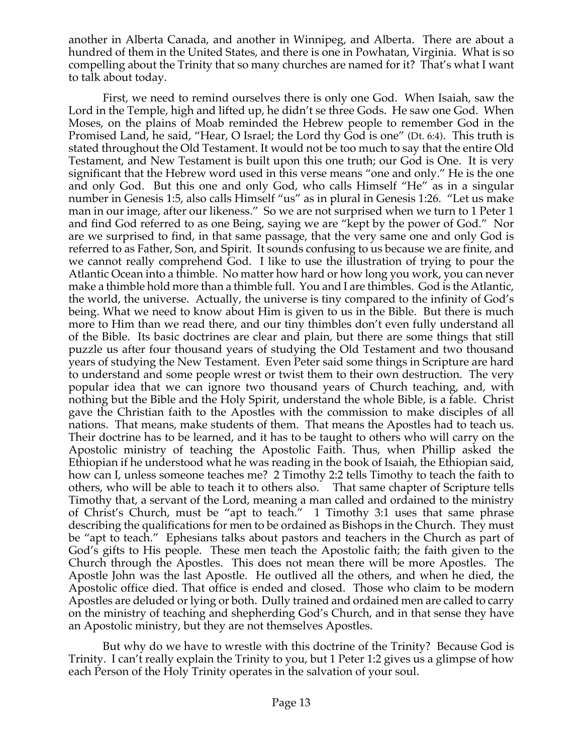another in Alberta Canada, and another in Winnipeg, and Alberta. There are about a hundred of them in the United States, and there is one in Powhatan, Virginia. What is so compelling about the Trinity that so many churches are named for it? That's what I want to talk about today.

First, we need to remind ourselves there is only one God. When Isaiah, saw the Lord in the Temple, high and lifted up, he didn't se three Gods. He saw one God. When Moses, on the plains of Moab reminded the Hebrew people to remember God in the Promised Land, he said, "Hear, O Israel; the Lord thy God is one" (Dt. 6:4). This truth is stated throughout the Old Testament. It would not be too much to say that the entire Old Testament, and New Testament is built upon this one truth; our God is One. It is very significant that the Hebrew word used in this verse means "one and only." He is the one and only God. But this one and only God, who calls Himself "He" as in a singular number in Genesis 1:5, also calls Himself "us" as in plural in Genesis 1:26. "Let us make man in our image, after our likeness." So we are not surprised when we turn to 1 Peter 1 and find God referred to as one Being, saying we are "kept by the power of God." Nor are we surprised to find, in that same passage, that the very same one and only God is referred to as Father, Son, and Spirit. It sounds confusing to us because we are finite, and we cannot really comprehend God. I like to use the illustration of trying to pour the Atlantic Ocean into a thimble. No matter how hard or how long you work, you can never make a thimble hold more than a thimble full. You and I are thimbles. God is the Atlantic, the world, the universe. Actually, the universe is tiny compared to the infinity of God's being. What we need to know about Him is given to us in the Bible. But there is much more to Him than we read there, and our tiny thimbles don't even fully understand all of the Bible. Its basic doctrines are clear and plain, but there are some things that still puzzle us after four thousand years of studying the Old Testament and two thousand years of studying the New Testament. Even Peter said some things in Scripture are hard to understand and some people wrest or twist them to their own destruction. The very popular idea that we can ignore two thousand years of Church teaching, and, with nothing but the Bible and the Holy Spirit, understand the whole Bible, is a fable. Christ gave the Christian faith to the Apostles with the commission to make disciples of all nations. That means, make students of them. That means the Apostles had to teach us. Their doctrine has to be learned, and it has to be taught to others who will carry on the Apostolic ministry of teaching the Apostolic Faith. Thus, when Phillip asked the Ethiopian if he understood what he was reading in the book of Isaiah, the Ethiopian said, how can I, unless someone teaches me? 2 Timothy 2:2 tells Timothy to teach the faith to others, who will be able to teach it to others also. That same chapter of Scripture tells Timothy that, a servant of the Lord, meaning a man called and ordained to the ministry of Christ's Church, must be "apt to teach." 1 Timothy 3:1 uses that same phrase describing the qualifications for men to be ordained as Bishops in the Church. They must be "apt to teach." Ephesians talks about pastors and teachers in the Church as part of God's gifts to His people. These men teach the Apostolic faith; the faith given to the Church through the Apostles. This does not mean there will be more Apostles. The Apostle John was the last Apostle. He outlived all the others, and when he died, the Apostolic office died. That office is ended and closed. Those who claim to be modern Apostles are deluded or lying or both. Dully trained and ordained men are called to carry on the ministry of teaching and shepherding God's Church, and in that sense they have an Apostolic ministry, but they are not themselves Apostles.

But why do we have to wrestle with this doctrine of the Trinity? Because God is Trinity. I can't really explain the Trinity to you, but 1 Peter 1:2 gives us a glimpse of how each Person of the Holy Trinity operates in the salvation of your soul.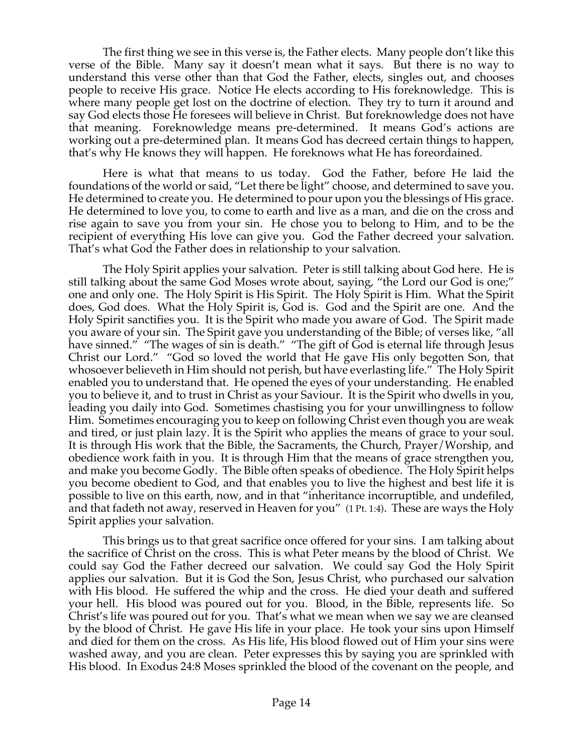The first thing we see in this verse is, the Father elects. Many people don't like this verse of the Bible. Many say it doesn't mean what it says. But there is no way to understand this verse other than that God the Father, elects, singles out, and chooses people to receive His grace. Notice He elects according to His foreknowledge. This is where many people get lost on the doctrine of election. They try to turn it around and say God elects those He foresees will believe in Christ. But foreknowledge does not have that meaning. Foreknowledge means pre-determined. It means God's actions are working out a pre-determined plan. It means God has decreed certain things to happen, that's why He knows they will happen. He foreknows what He has foreordained.

Here is what that means to us today. God the Father, before He laid the foundations of the world or said, "Let there be light" choose, and determined to save you. He determined to create you. He determined to pour upon you the blessings of His grace. He determined to love you, to come to earth and live as a man, and die on the cross and rise again to save you from your sin. He chose you to belong to Him, and to be the recipient of everything His love can give you. God the Father decreed your salvation. That's what God the Father does in relationship to your salvation.

The Holy Spirit applies your salvation. Peter is still talking about God here. He is still talking about the same God Moses wrote about, saying, "the Lord our God is one;" one and only one. The Holy Spirit is His Spirit. The Holy Spirit is Him. What the Spirit does, God does. What the Holy Spirit is, God is. God and the Spirit are one. And the Holy Spirit sanctifies you. It is the Spirit who made you aware of God. The Spirit made you aware of your sin. The Spirit gave you understanding of the Bible; of verses like, "all have sinned." "The wages of sin is death." "The gift of God is eternal life through Jesus Christ our Lord." "God so loved the world that He gave His only begotten Son, that whosoever believeth in Him should not perish, but have everlasting life." The Holy Spirit enabled you to understand that. He opened the eyes of your understanding. He enabled you to believe it, and to trust in Christ as your Saviour. It is the Spirit who dwells in you, leading you daily into God. Sometimes chastising you for your unwillingness to follow Him. Sometimes encouraging you to keep on following Christ even though you are weak and tired, or just plain lazy. It is the Spirit who applies the means of grace to your soul. It is through His work that the Bible, the Sacraments, the Church, Prayer/Worship, and obedience work faith in you. It is through Him that the means of grace strengthen you, and make you become Godly. The Bible often speaks of obedience. The Holy Spirit helps you become obedient to God, and that enables you to live the highest and best life it is possible to live on this earth, now, and in that "inheritance incorruptible, and undefiled, and that fadeth not away, reserved in Heaven for you" (1 Pt. 1:4). These are ways the Holy Spirit applies your salvation.

This brings us to that great sacrifice once offered for your sins. I am talking about the sacrifice of Christ on the cross. This is what Peter means by the blood of Christ. We could say God the Father decreed our salvation. We could say God the Holy Spirit applies our salvation. But it is God the Son, Jesus Christ, who purchased our salvation with His blood. He suffered the whip and the cross. He died your death and suffered your hell. His blood was poured out for you. Blood, in the Bible, represents life. So Christ's life was poured out for you. That's what we mean when we say we are cleansed by the blood of Christ. He gave His life in your place. He took your sins upon Himself and died for them on the cross. As His life, His blood flowed out of Him your sins were washed away, and you are clean. Peter expresses this by saying you are sprinkled with His blood. In Exodus 24:8 Moses sprinkled the blood of the covenant on the people, and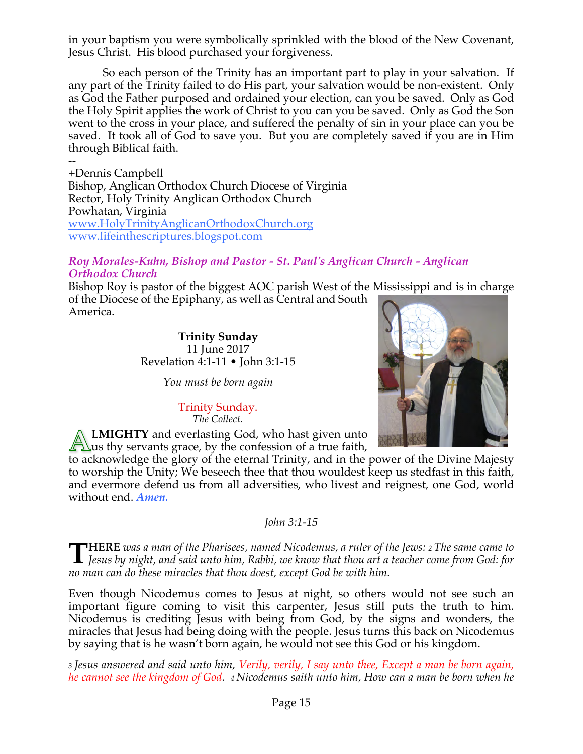in your baptism you were symbolically sprinkled with the blood of the New Covenant, Jesus Christ. His blood purchased your forgiveness.

So each person of the Trinity has an important part to play in your salvation. If any part of the Trinity failed to do His part, your salvation would be non-existent. Only as God the Father purposed and ordained your election, can you be saved. Only as God the Holy Spirit applies the work of Christ to you can you be saved. Only as God the Son went to the cross in your place, and suffered the penalty of sin in your place can you be saved. It took all of God to save you. But you are completely saved if you are in Him through Biblical faith.

-- +Dennis Campbell Bishop, Anglican Orthodox Church Diocese of Virginia Rector, Holy Trinity Anglican Orthodox Church Powhatan, Virginia www.HolyTrinityAnglicanOrthodoxChurch.org www.lifeinthescriptures.blogspot.com

### *Roy Morales-Kuhn, Bishop and Pastor - St. Paul's Anglican Church - Anglican Orthodox Church*

Bishop Roy is pastor of the biggest AOC parish West of the Mississippi and is in charge of the Diocese of the Epiphany, as well as Central and South America.

> **Trinity Sunday** 11 June 2017 Revelation 4:1-11 • John 3:1-15

> > *You must be born again*

Trinity Sunday. *The Collect.*

**LMIGHTY** and everlasting God, who hast given unto  $\sum$ us thy servants grace, by the confession of a true faith,

to acknowledge the glory of the eternal Trinity, and in the power of the Divine Majesty to worship the Unity; We beseech thee that thou wouldest keep us stedfast in this faith, and evermore defend us from all adversities, who livest and reignest, one God, world without end. *Amen.*

*John 3:1-15*

THERE was a man of the Pharisees, named Nicodemus, a ruler of the Jews: 2 The same came to<br>Jesus by night, and said unto him, Rabbi, we know that thou art a teacher come from God: for L Jesus by night, and said unto him, Rabbi, we know that thou art a teacher come from God: for *no man can do these miracles that thou doest, except God be with him.*

Even though Nicodemus comes to Jesus at night, so others would not see such an important figure coming to visit this carpenter, Jesus still puts the truth to him. Nicodemus is crediting Jesus with being from God, by the signs and wonders, the miracles that Jesus had being doing with the people. Jesus turns this back on Nicodemus by saying that is he wasn't born again, he would not see this God or his kingdom.

3 Jesus answered and said unto him, Verily, verily, I say unto thee, Except a man be born again, *he cannot see the kingdom of God. 4 Nicodemus saith unto him, How can a man be born when he*

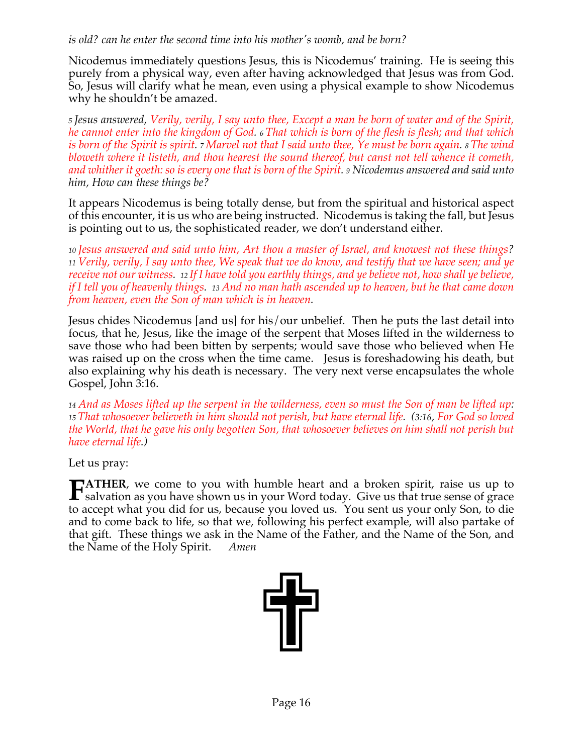### *is old? can he enter the second time into his mother's womb, and be born?*

Nicodemus immediately questions Jesus, this is Nicodemus' training. He is seeing this purely from a physical way, even after having acknowledged that Jesus was from God. So, Jesus will clarify what he mean, even using a physical example to show Nicodemus why he shouldn't be amazed.

5 Jesus answered, Verily, verily, I say unto thee, Except a man be born of water and of the Spirit, he cannot enter into the kingdom of God. 6 That which is born of the flesh is flesh; and that which is born of the Spirit is spirit. 7 Marvel not that I said unto thee, Ye must be born again. 8 The wind *bloweth where it listeth, and thou hearest the sound thereof, but canst not tell whence it cometh,* and whither it goeth: so is every one that is born of the Spirit. 9 Nicodemus answered and said unto *him, How can these things be?*

It appears Nicodemus is being totally dense, but from the spiritual and historical aspect of this encounter, it is us who are being instructed. Nicodemus is taking the fall, but Jesus is pointing out to us, the sophisticated reader, we don't understand either.

*<sup>10</sup> Jesus answered and said unto him, Art thou a master of Israel, and knowest not these things?*  11 Verily, verily, I say unto thee, We speak that we do know, and testify that we have seen; and ye receive not our witness. 12 If I have told you earthly things, and ye believe not, how shall ye believe, if I tell you of heavenly things. 13 And no man hath ascended up to heaven, but he that came down *from heaven, even the Son of man which is in heaven.*

Jesus chides Nicodemus [and us] for his/our unbelief. Then he puts the last detail into focus, that he, Jesus, like the image of the serpent that Moses lifted in the wilderness to save those who had been bitten by serpents; would save those who believed when He was raised up on the cross when the time came. Jesus is foreshadowing his death, but also explaining why his death is necessary. The very next verse encapsulates the whole Gospel, John 3:16.

14 And as Moses lifted up the serpent in the wilderness, even so must the Son of man be lifted up: *<sup>15</sup> That whosoever believeth in him should not perish, but have eternal life. (3:16, For God so loved the World, that he gave his only begotten Son, that whosoever believes on him shall not perish but have eternal life.)*

Let us pray:

**ATHER**, we come to you with humble heart and a broken spirit, raise us up to **FATHER**, we come to you with humble heart and a broken spirit, raise us up to salvation as you have shown us in your Word today. Give us that true sense of grace to accept what you did for us, because you loved us. You sent us your only Son, to die and to come back to life, so that we, following his perfect example, will also partake of that gift. These things we ask in the Name of the Father, and the Name of the Son, and the Name of the Holy Spirit. *Amen*

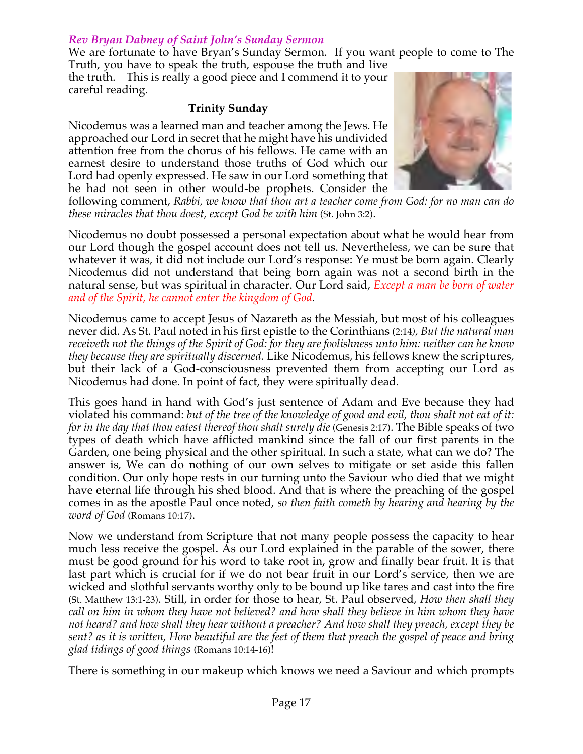### *Rev Bryan Dabney of Saint John's Sunday Sermon*

We are fortunate to have Bryan's Sunday Sermon. If you want people to come to The Truth, you have to speak the truth, espouse the truth and live

the truth. This is really a good piece and I commend it to your careful reading.

### **Trinity Sunday**

Nicodemus was a learned man and teacher among the Jews. He approached our Lord in secret that he might have his undivided attention free from the chorus of his fellows. He came with an earnest desire to understand those truths of God which our Lord had openly expressed. He saw in our Lord something that he had not seen in other would-be prophets. Consider the



following comment, *Rabbi, we know that thou art a teacher come from God: for no man can do these miracles that thou doest, except God be with him* (St. John 3:2).

Nicodemus no doubt possessed a personal expectation about what he would hear from our Lord though the gospel account does not tell us. Nevertheless, we can be sure that whatever it was, it did not include our Lord's response: Ye must be born again. Clearly Nicodemus did not understand that being born again was not a second birth in the natural sense, but was spiritual in character. Our Lord said, *Except a man be born of water and of the Spirit, he cannot enter the kingdom of God*.

Nicodemus came to accept Jesus of Nazareth as the Messiah, but most of his colleagues never did. As St. Paul noted in his first epistle to the Corinthians (2:14*), But the natural man receiveth not the things of the Spirit of God: for they are foolishness unto him: neither can he know they because they are spiritually discerned.* Like Nicodemus, his fellows knew the scriptures, but their lack of a God-consciousness prevented them from accepting our Lord as Nicodemus had done. In point of fact, they were spiritually dead.

This goes hand in hand with God's just sentence of Adam and Eve because they had violated his command: *but of the tree of the knowledge of good and evil, thou shalt not eat of it: for in the day that thou eatest thereof thou shalt surely die* (Genesis 2:17). The Bible speaks of two types of death which have afflicted mankind since the fall of our first parents in the Garden, one being physical and the other spiritual. In such a state, what can we do? The answer is, We can do nothing of our own selves to mitigate or set aside this fallen condition. Our only hope rests in our turning unto the Saviour who died that we might have eternal life through his shed blood. And that is where the preaching of the gospel comes in as the apostle Paul once noted, *so then faith cometh by hearing and hearing by the word of God* (Romans 10:17).

Now we understand from Scripture that not many people possess the capacity to hear much less receive the gospel. As our Lord explained in the parable of the sower, there must be good ground for his word to take root in, grow and finally bear fruit. It is that last part which is crucial for if we do not bear fruit in our Lord's service, then we are wicked and slothful servants worthy only to be bound up like tares and cast into the fire (St. Matthew 13:1-23). Still, in order for those to hear, St. Paul observed, *How then shall they call on him in whom they have not believed? and how shall they believe in him whom they have not heard? and how shall they hear without a preacher? And how shall they preach, except they be sent? as it is written, How beautiful are the feet of them that preach the gospel of peace and bring glad tidings of good things* (Romans 10:14-16)!

There is something in our makeup which knows we need a Saviour and which prompts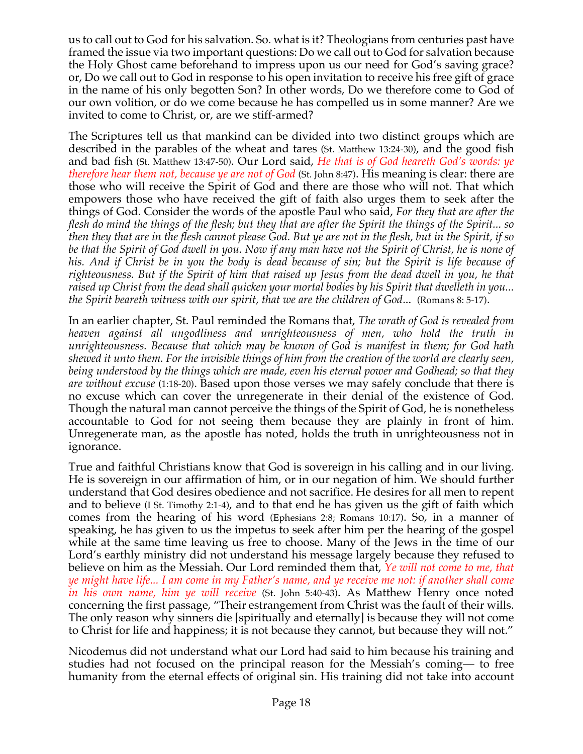us to call out to God for his salvation. So. what is it? Theologians from centuries past have framed the issue via two important questions: Do we call out to God for salvation because the Holy Ghost came beforehand to impress upon us our need for God's saving grace? or, Do we call out to God in response to his open invitation to receive his free gift of grace in the name of his only begotten Son? In other words, Do we therefore come to God of our own volition, or do we come because he has compelled us in some manner? Are we invited to come to Christ, or, are we stiff-armed?

The Scriptures tell us that mankind can be divided into two distinct groups which are described in the parables of the wheat and tares (St. Matthew 13:24-30), and the good fish and bad fish (St. Matthew 13:47-50). Our Lord said, *He that is of God heareth God's words: ye therefore hear them not, because ye are not of God* (St. John 8:47). His meaning is clear: there are those who will receive the Spirit of God and there are those who will not. That which empowers those who have received the gift of faith also urges them to seek after the things of God. Consider the words of the apostle Paul who said, *For they that are after the flesh do mind the things of the flesh; but they that are after the Spirit the things of the Spirit... so then they that are in the flesh cannot please God. But ye are not in the flesh, but in the Spirit, if so be that the Spirit of God dwell in you. Now if any man have not the Spirit of Christ, he is none of*  his. And if Christ be in you the body is dead because of sin; but the Spirit is life because of *righteousness. But if the Spirit of him that raised up Jesus from the dead dwell in you, he that raised up Christ from the dead shall quicken your mortal bodies by his Spirit that dwelleth in you... the Spirit beareth witness with our spirit, that we are the children of God*...(Romans 8: 5-17).

In an earlier chapter, St. Paul reminded the Romans that, *The wrath of God is revealed from heaven against all ungodliness and unrighteousness of men, who hold the truth in unrighteousness. Because that which may be known of God is manifest in them; for God hath shewed it unto them. For the invisible things of him from the creation of the world are clearly seen, being understood by the things which are made, even his eternal power and Godhead; so that they are without excuse* (1:18-20). Based upon those verses we may safely conclude that there is no excuse which can cover the unregenerate in their denial of the existence of God. Though the natural man cannot perceive the things of the Spirit of God, he is nonetheless accountable to God for not seeing them because they are plainly in front of him. Unregenerate man, as the apostle has noted, holds the truth in unrighteousness not in ignorance.

True and faithful Christians know that God is sovereign in his calling and in our living. He is sovereign in our affirmation of him, or in our negation of him. We should further understand that God desires obedience and not sacrifice. He desires for all men to repent and to believe (I St. Timothy 2:1-4), and to that end he has given us the gift of faith which comes from the hearing of his word (Ephesians 2:8; Romans 10:17). So, in a manner of speaking, he has given to us the impetus to seek after him per the hearing of the gospel while at the same time leaving us free to choose. Many of the Jews in the time of our Lord's earthly ministry did not understand his message largely because they refused to believe on him as the Messiah. Our Lord reminded them that, *Ye will not come to me, that ye might have life... I am come in my Father's name, and ye receive me not: if another shall come in his own name, him ye will receive* (St. John 5:40-43). As Matthew Henry once noted concerning the first passage, "Their estrangement from Christ was the fault of their wills. The only reason why sinners die [spiritually and eternally] is because they will not come to Christ for life and happiness; it is not because they cannot, but because they will not."

Nicodemus did not understand what our Lord had said to him because his training and studies had not focused on the principal reason for the Messiah's coming— to free humanity from the eternal effects of original sin. His training did not take into account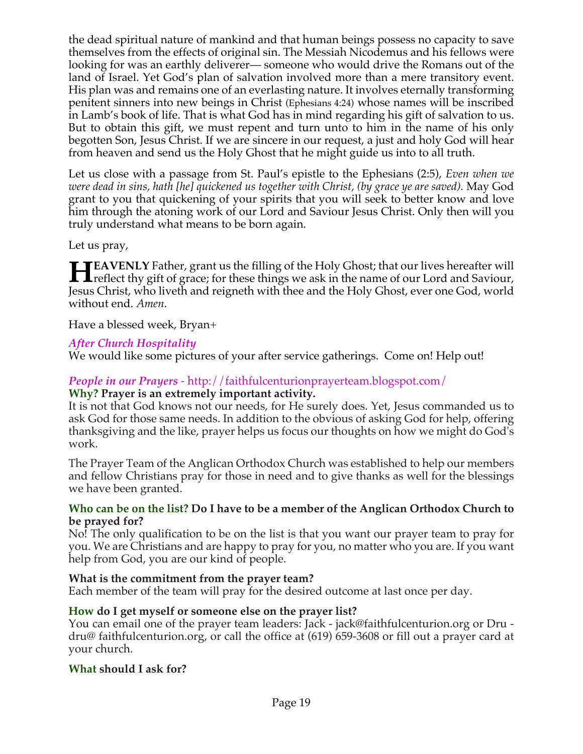the dead spiritual nature of mankind and that human beings possess no capacity to save themselves from the effects of original sin. The Messiah Nicodemus and his fellows were looking for was an earthly deliverer— someone who would drive the Romans out of the land of Israel. Yet God's plan of salvation involved more than a mere transitory event. His plan was and remains one of an everlasting nature. It involves eternally transforming penitent sinners into new beings in Christ (Ephesians 4:24) whose names will be inscribed in Lamb's book of life. That is what God has in mind regarding his gift of salvation to us. But to obtain this gift, we must repent and turn unto to him in the name of his only begotten Son, Jesus Christ. If we are sincere in our request, a just and holy God will hear from heaven and send us the Holy Ghost that he might guide us into to all truth.

Let us close with a passage from St. Paul's epistle to the Ephesians (2:5), *Even when we were dead in sins, hath [he] quickened us together with Christ, (by grace ye are saved).* May God grant to you that quickening of your spirits that you will seek to better know and love him through the atoning work of our Lord and Saviour Jesus Christ. Only then will you truly understand what means to be born again.

Let us pray,

**EAVENLY** Father, grant us the filling of the Holy Ghost; that our lives hereafter will **FRAVENLY** Father, grant us the filling of the Holy Ghost; that our lives hereafter will<br> **Header the gift of grace**; for these things we ask in the name of our Lord and Saviour,<br> **Header Chock and Saviour** Jesus Christ, who liveth and reigneth with thee and the Holy Ghost, ever one God, world without end. *Amen*.

Have a blessed week, Bryan+

## *After Church Hospitality*

We would like some pictures of your after service gatherings. Come on! Help out!

# *People in our Prayers* - http://faithfulcenturionprayerteam.blogspot.com/

### **Why? Prayer is an extremely important activity.**

It is not that God knows not our needs, for He surely does. Yet, Jesus commanded us to ask God for those same needs. In addition to the obvious of asking God for help, offering thanksgiving and the like, prayer helps us focus our thoughts on how we might do God's work.

The Prayer Team of the Anglican Orthodox Church was established to help our members and fellow Christians pray for those in need and to give thanks as well for the blessings we have been granted.

### **Who can be on the list? Do I have to be a member of the Anglican Orthodox Church to be prayed for?**

No! The only qualification to be on the list is that you want our prayer team to pray for you. We are Christians and are happy to pray for you, no matter who you are. If you want help from God, you are our kind of people.

### **What is the commitment from the prayer team?**

Each member of the team will pray for the desired outcome at last once per day.

## **How do I get myself or someone else on the prayer list?**

You can email one of the prayer team leaders: Jack - jack@faithfulcenturion.org or Dru dru@ faithfulcenturion.org, or call the office at (619) 659-3608 or fill out a prayer card at your church.

### **What should I ask for?**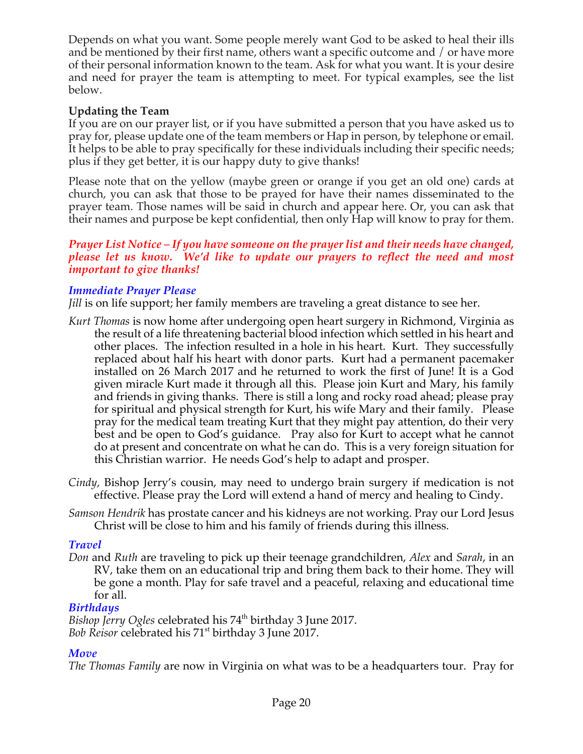Depends on what you want. Some people merely want God to be asked to heal their ills and be mentioned by their first name, others want a specific outcome and / or have more of their personal information known to the team. Ask for what you want. It is your desire and need for prayer the team is attempting to meet. For typical examples, see the list below.

## **Updating the Team**

If you are on our prayer list, or if you have submitted a person that you have asked us to pray for, please update one of the team members or Hap in person, by telephone or email. It helps to be able to pray specifically for these individuals including their specific needs; plus if they get better, it is our happy duty to give thanks!

Please note that on the yellow (maybe green or orange if you get an old one) cards at church, you can ask that those to be prayed for have their names disseminated to the prayer team. Those names will be said in church and appear here. Or, you can ask that their names and purpose be kept confidential, then only Hap will know to pray for them.

### *Prayer List Notice – If you have someone on the prayer list and their needs have changed, please let us know. We'd like to update our prayers to reflect the need and most important to give thanks!*

## *Immediate Prayer Please*

*Jill* is on life support; her family members are traveling a great distance to see her.

- *Kurt Thomas* is now home after undergoing open heart surgery in Richmond, Virginia as the result of a life threatening bacterial blood infection which settled in his heart and other places. The infection resulted in a hole in his heart. Kurt. They successfully replaced about half his heart with donor parts. Kurt had a permanent pacemaker installed on 26 March 2017 and he returned to work the first of June! It is a God given miracle Kurt made it through all this. Please join Kurt and Mary, his family and friends in giving thanks. There is still a long and rocky road ahead; please pray for spiritual and physical strength for Kurt, his wife Mary and their family. Please pray for the medical team treating Kurt that they might pay attention, do their very best and be open to God's guidance. Pray also for Kurt to accept what he cannot do at present and concentrate on what he can do. This is a very foreign situation for this Christian warrior. He needs God's help to adapt and prosper.
- *Cindy,* Bishop Jerry's cousin, may need to undergo brain surgery if medication is not effective. Please pray the Lord will extend a hand of mercy and healing to Cindy.
- *Samson Hendrik* has prostate cancer and his kidneys are not working. Pray our Lord Jesus Christ will be close to him and his family of friends during this illness.

## *Travel*

*Don* and *Ruth* are traveling to pick up their teenage grandchildren, *Alex* and *Sarah*, in an RV, take them on an educational trip and bring them back to their home. They will be gone a month. Play for safe travel and a peaceful, relaxing and educational time for all.

## *Birthdays*

*Bishop Jerry Ogles* celebrated his 74<sup>th</sup> birthday 3 June 2017. Bob Reisor celebrated his 71<sup>st</sup> birthday 3 June 2017.

## *Move*

*The Thomas Family* are now in Virginia on what was to be a headquarters tour. Pray for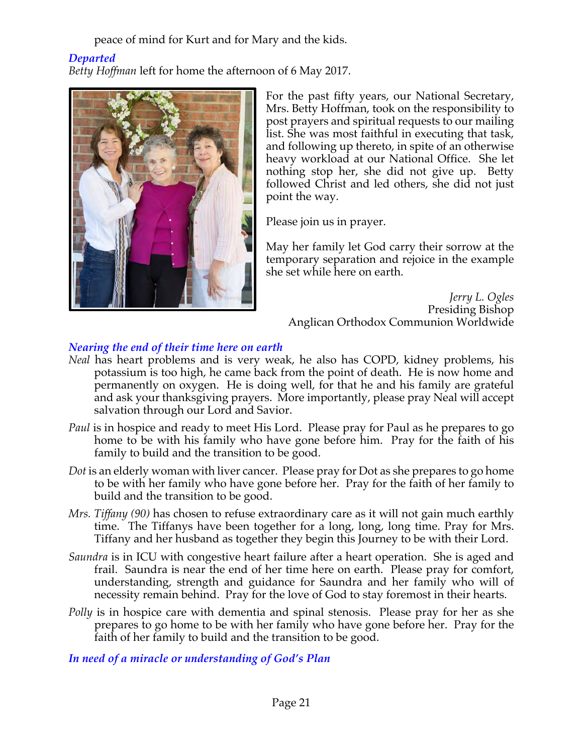peace of mind for Kurt and for Mary and the kids.

## *Departed*

*Betty Hoffman* left for home the afternoon of 6 May 2017.



For the past fifty years, our National Secretary, Mrs. Betty Hoffman, took on the responsibility to post prayers and spiritual requests to our mailing list. She was most faithful in executing that task, and following up thereto, in spite of an otherwise heavy workload at our National Office. She let nothing stop her, she did not give up. Betty followed Christ and led others, she did not just point the way.

Please join us in prayer.

May her family let God carry their sorrow at the temporary separation and rejoice in the example she set while here on earth.

*Jerry L. Ogles* Presiding Bishop Anglican Orthodox Communion Worldwide

## *Nearing the end of their time here on earth*

- *Neal* has heart problems and is very weak, he also has COPD, kidney problems, his potassium is too high, he came back from the point of death. He is now home and permanently on oxygen. He is doing well, for that he and his family are grateful and ask your thanksgiving prayers. More importantly, please pray Neal will accept salvation through our Lord and Savior.
- *Paul* is in hospice and ready to meet His Lord. Please pray for Paul as he prepares to go home to be with his family who have gone before him. Pray for the faith of his family to build and the transition to be good.
- *Dot* is an elderly woman with liver cancer. Please pray for Dot as she prepares to go home to be with her family who have gone before her. Pray for the faith of her family to build and the transition to be good.
- *Mrs. Tiffany (90)* has chosen to refuse extraordinary care as it will not gain much earthly time. The Tiffanys have been together for a long, long, long time. Pray for Mrs. Tiffany and her husband as together they begin this Journey to be with their Lord.
- *Saundra* is in ICU with congestive heart failure after a heart operation. She is aged and frail. Saundra is near the end of her time here on earth. Please pray for comfort, understanding, strength and guidance for Saundra and her family who will of necessity remain behind. Pray for the love of God to stay foremost in their hearts.
- *Polly* is in hospice care with dementia and spinal stenosis. Please pray for her as she prepares to go home to be with her family who have gone before her. Pray for the faith of her family to build and the transition to be good.

*In need of a miracle or understanding of God's Plan*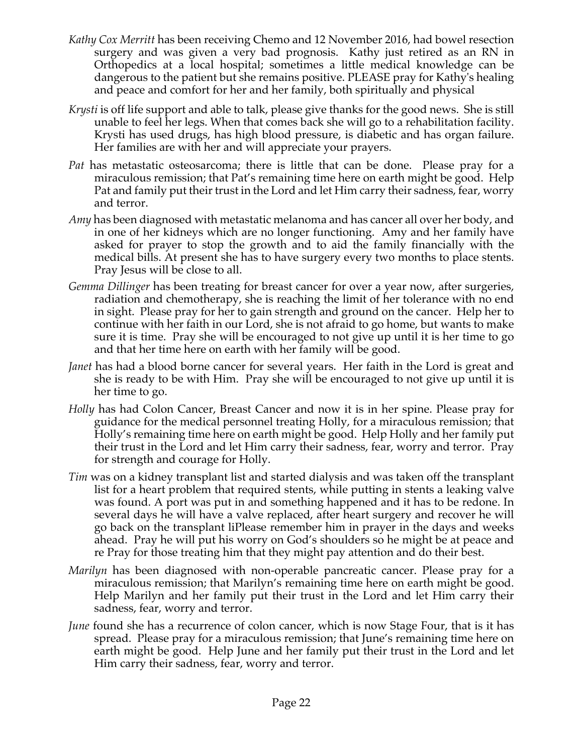- *Kathy Cox Merritt* has been receiving Chemo and 12 November 2016, had bowel resection surgery and was given a very bad prognosis. Kathy just retired as an RN in Orthopedics at a local hospital; sometimes a little medical knowledge can be dangerous to the patient but she remains positive. PLEASE pray for Kathy's healing and peace and comfort for her and her family, both spiritually and physical
- *Krysti* is off life support and able to talk, please give thanks for the good news. She is still unable to feel her legs. When that comes back she will go to a rehabilitation facility. Krysti has used drugs, has high blood pressure, is diabetic and has organ failure. Her families are with her and will appreciate your prayers.
- *Pat* has metastatic osteosarcoma; there is little that can be done. Please pray for a miraculous remission; that Pat's remaining time here on earth might be good. Help Pat and family put their trust in the Lord and let Him carry their sadness, fear, worry and terror.
- *Amy* has been diagnosed with metastatic melanoma and has cancer all over her body, and in one of her kidneys which are no longer functioning. Amy and her family have asked for prayer to stop the growth and to aid the family financially with the medical bills. At present she has to have surgery every two months to place stents. Pray Jesus will be close to all.
- *Gemma Dillinger* has been treating for breast cancer for over a year now, after surgeries, radiation and chemotherapy, she is reaching the limit of her tolerance with no end in sight. Please pray for her to gain strength and ground on the cancer. Help her to continue with her faith in our Lord, she is not afraid to go home, but wants to make sure it is time. Pray she will be encouraged to not give up until it is her time to go and that her time here on earth with her family will be good.
- *Janet* has had a blood borne cancer for several years. Her faith in the Lord is great and she is ready to be with Him. Pray she will be encouraged to not give up until it is her time to go.
- *Holly* has had Colon Cancer, Breast Cancer and now it is in her spine. Please pray for guidance for the medical personnel treating Holly, for a miraculous remission; that Holly's remaining time here on earth might be good. Help Holly and her family put their trust in the Lord and let Him carry their sadness, fear, worry and terror. Pray for strength and courage for Holly.
- *Tim* was on a kidney transplant list and started dialysis and was taken off the transplant list for a heart problem that required stents, while putting in stents a leaking valve was found. A port was put in and something happened and it has to be redone. In several days he will have a valve replaced, after heart surgery and recover he will go back on the transplant liPlease remember him in prayer in the days and weeks ahead. Pray he will put his worry on God's shoulders so he might be at peace and re Pray for those treating him that they might pay attention and do their best.
- *Marilyn* has been diagnosed with non-operable pancreatic cancer. Please pray for a miraculous remission; that Marilyn's remaining time here on earth might be good. Help Marilyn and her family put their trust in the Lord and let Him carry their sadness, fear, worry and terror.
- *June* found she has a recurrence of colon cancer, which is now Stage Four, that is it has spread. Please pray for a miraculous remission; that June's remaining time here on earth might be good. Help June and her family put their trust in the Lord and let Him carry their sadness, fear, worry and terror.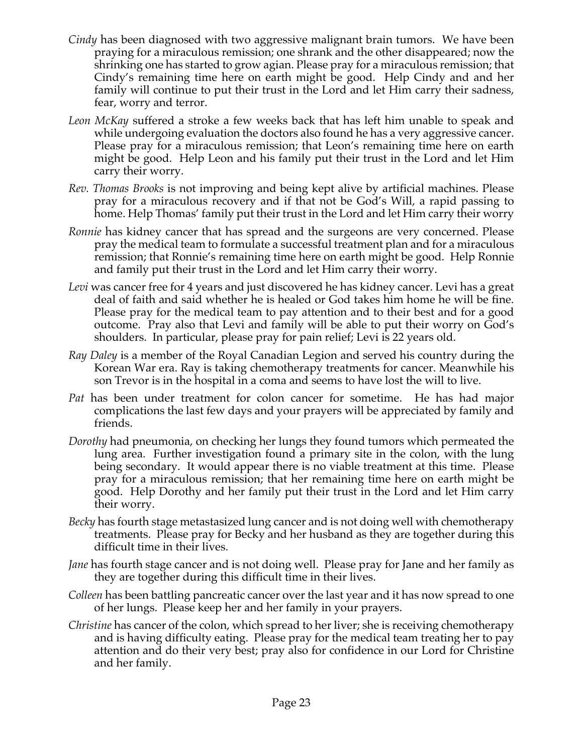- *Cindy* has been diagnosed with two aggressive malignant brain tumors. We have been praying for a miraculous remission; one shrank and the other disappeared; now the shrinking one has started to grow agian. Please pray for a miraculous remission; that Cindy's remaining time here on earth might be good. Help Cindy and and her family will continue to put their trust in the Lord and let Him carry their sadness, fear, worry and terror.
- *Leon McKay* suffered a stroke a few weeks back that has left him unable to speak and while undergoing evaluation the doctors also found he has a very aggressive cancer. Please pray for a miraculous remission; that Leon's remaining time here on earth might be good. Help Leon and his family put their trust in the Lord and let Him carry their worry.
- *Rev. Thomas Brooks* is not improving and being kept alive by artificial machines. Please pray for a miraculous recovery and if that not be God's Will, a rapid passing to home. Help Thomas' family put their trust in the Lord and let Him carry their worry
- *Ronnie* has kidney cancer that has spread and the surgeons are very concerned. Please pray the medical team to formulate a successful treatment plan and for a miraculous remission; that Ronnie's remaining time here on earth might be good. Help Ronnie and family put their trust in the Lord and let Him carry their worry.
- *Levi* was cancer free for 4 years and just discovered he has kidney cancer. Levi has a great deal of faith and said whether he is healed or God takes him home he will be fine. Please pray for the medical team to pay attention and to their best and for a good outcome. Pray also that Levi and family will be able to put their worry on God's shoulders. In particular, please pray for pain relief; Levi is 22 years old.
- *Ray Daley* is a member of the Royal Canadian Legion and served his country during the Korean War era. Ray is taking chemotherapy treatments for cancer. Meanwhile his son Trevor is in the hospital in a coma and seems to have lost the will to live.
- *Pat* has been under treatment for colon cancer for sometime. He has had major complications the last few days and your prayers will be appreciated by family and friends.
- *Dorothy* had pneumonia, on checking her lungs they found tumors which permeated the lung area. Further investigation found a primary site in the colon, with the lung being secondary. It would appear there is no viable treatment at this time. Please pray for a miraculous remission; that her remaining time here on earth might be good. Help Dorothy and her family put their trust in the Lord and let Him carry their worry.
- *Becky* has fourth stage metastasized lung cancer and is not doing well with chemotherapy treatments. Please pray for Becky and her husband as they are together during this difficult time in their lives.
- *Jane* has fourth stage cancer and is not doing well. Please pray for Jane and her family as they are together during this difficult time in their lives.
- *Colleen* has been battling pancreatic cancer over the last year and it has now spread to one of her lungs. Please keep her and her family in your prayers.
- *Christine* has cancer of the colon, which spread to her liver; she is receiving chemotherapy and is having difficulty eating. Please pray for the medical team treating her to pay attention and do their very best; pray also for confidence in our Lord for Christine and her family.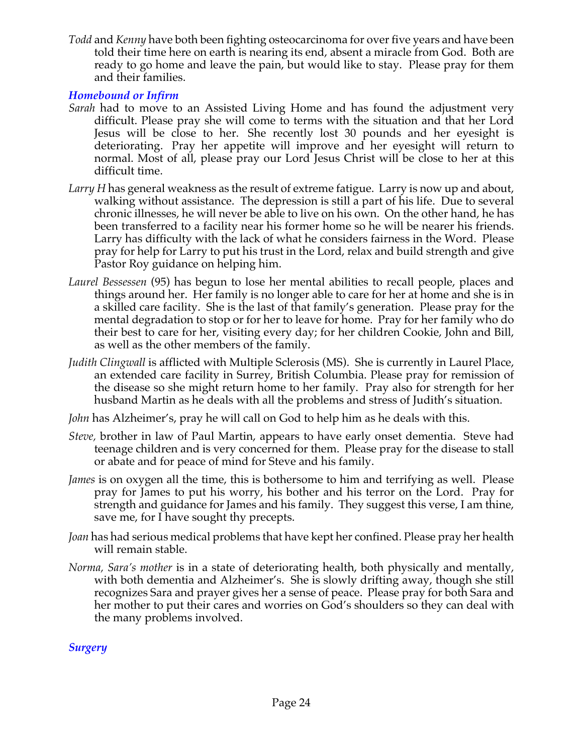*Todd* and *Kenny* have both been fighting osteocarcinoma for over five years and have been told their time here on earth is nearing its end, absent a miracle from God. Both are ready to go home and leave the pain, but would like to stay. Please pray for them and their families.

## *Homebound or Infirm*

- *Sarah* had to move to an Assisted Living Home and has found the adjustment very difficult. Please pray she will come to terms with the situation and that her Lord Jesus will be close to her. She recently lost 30 pounds and her eyesight is deteriorating. Pray her appetite will improve and her eyesight will return to normal. Most of all, please pray our Lord Jesus Christ will be close to her at this difficult time.
- *Larry H* has general weakness as the result of extreme fatigue. Larry is now up and about, walking without assistance. The depression is still a part of his life. Due to several chronic illnesses, he will never be able to live on his own. On the other hand, he has been transferred to a facility near his former home so he will be nearer his friends. Larry has difficulty with the lack of what he considers fairness in the Word. Please pray for help for Larry to put his trust in the Lord, relax and build strength and give Pastor Roy guidance on helping him.
- *Laurel Bessessen* (95) has begun to lose her mental abilities to recall people, places and things around her. Her family is no longer able to care for her at home and she is in a skilled care facility. She is the last of that family's generation. Please pray for the mental degradation to stop or for her to leave for home. Pray for her family who do their best to care for her, visiting every day; for her children Cookie, John and Bill, as well as the other members of the family.
- *Judith Clingwall* is afflicted with Multiple Sclerosis (MS). She is currently in Laurel Place, an extended care facility in Surrey, British Columbia. Please pray for remission of the disease so she might return home to her family. Pray also for strength for her husband Martin as he deals with all the problems and stress of Judith's situation.
- *John* has Alzheimer's, pray he will call on God to help him as he deals with this.
- *Steve,* brother in law of Paul Martin, appears to have early onset dementia. Steve had teenage children and is very concerned for them. Please pray for the disease to stall or abate and for peace of mind for Steve and his family.
- *James* is on oxygen all the time, this is bothersome to him and terrifying as well. Please pray for James to put his worry, his bother and his terror on the Lord. Pray for strength and guidance for James and his family. They suggest this verse, I am thine, save me, for I have sought thy precepts.
- *Joan* has had serious medical problems that have kept her confined. Please pray her health will remain stable.
- *Norma, Sara's mother* is in a state of deteriorating health, both physically and mentally, with both dementia and Alzheimer's. She is slowly drifting away, though she still recognizes Sara and prayer gives her a sense of peace. Please pray for both Sara and her mother to put their cares and worries on God's shoulders so they can deal with the many problems involved.

*Surgery*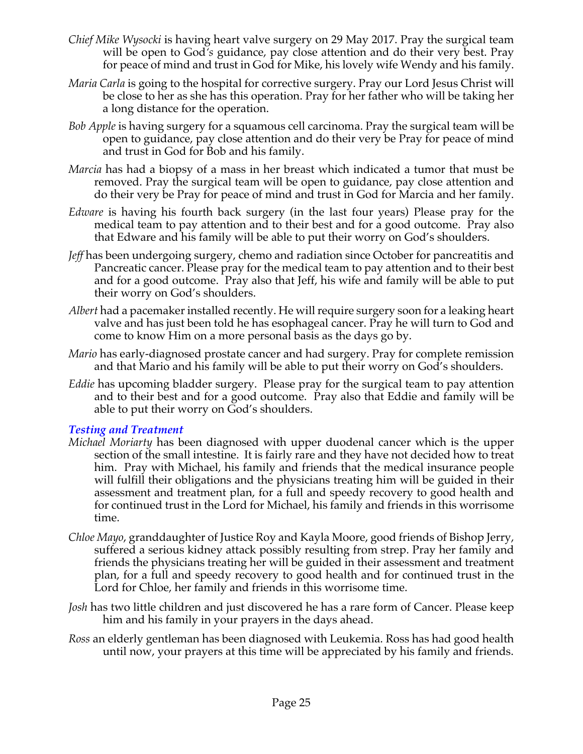- *Chief Mike Wysocki* is having heart valve surgery on 29 May 2017. Pray the surgical team will be open to God*'s* guidance, pay close attention and do their very best. Pray for peace of mind and trust in God for Mike, his lovely wife Wendy and his family.
- *Maria Carla* is going to the hospital for corrective surgery. Pray our Lord Jesus Christ will be close to her as she has this operation. Pray for her father who will be taking her a long distance for the operation.
- *Bob Apple* is having surgery for a squamous cell carcinoma. Pray the surgical team will be open to guidance, pay close attention and do their very be Pray for peace of mind and trust in God for Bob and his family.
- *Marcia* has had a biopsy of a mass in her breast which indicated a tumor that must be removed. Pray the surgical team will be open to guidance, pay close attention and do their very be Pray for peace of mind and trust in God for Marcia and her family.
- *Edware* is having his fourth back surgery (in the last four years) Please pray for the medical team to pay attention and to their best and for a good outcome. Pray also that Edware and his family will be able to put their worry on God's shoulders.
- *Jeff* has been undergoing surgery, chemo and radiation since October for pancreatitis and Pancreatic cancer. Please pray for the medical team to pay attention and to their best and for a good outcome. Pray also that Jeff, his wife and family will be able to put their worry on God's shoulders.
- *Albert* had a pacemaker installed recently. He will require surgery soon for a leaking heart valve and has just been told he has esophageal cancer. Pray he will turn to God and come to know Him on a more personal basis as the days go by.
- *Mario* has early-diagnosed prostate cancer and had surgery. Pray for complete remission and that Mario and his family will be able to put their worry on God's shoulders.
- *Eddie* has upcoming bladder surgery. Please pray for the surgical team to pay attention and to their best and for a good outcome. Pray also that Eddie and family will be able to put their worry on God's shoulders.

## *Testing and Treatment*

- *Michael Moriarty* has been diagnosed with upper duodenal cancer which is the upper section of the small intestine. It is fairly rare and they have not decided how to treat him. Pray with Michael, his family and friends that the medical insurance people will fulfill their obligations and the physicians treating him will be guided in their assessment and treatment plan, for a full and speedy recovery to good health and for continued trust in the Lord for Michael, his family and friends in this worrisome time.
- *Chloe Mayo*, granddaughter of Justice Roy and Kayla Moore, good friends of Bishop Jerry, suffered a serious kidney attack possibly resulting from strep. Pray her family and friends the physicians treating her will be guided in their assessment and treatment plan, for a full and speedy recovery to good health and for continued trust in the Lord for Chloe, her family and friends in this worrisome time.
- *Josh* has two little children and just discovered he has a rare form of Cancer. Please keep him and his family in your prayers in the days ahead.
- *Ross* an elderly gentleman has been diagnosed with Leukemia. Ross has had good health until now, your prayers at this time will be appreciated by his family and friends.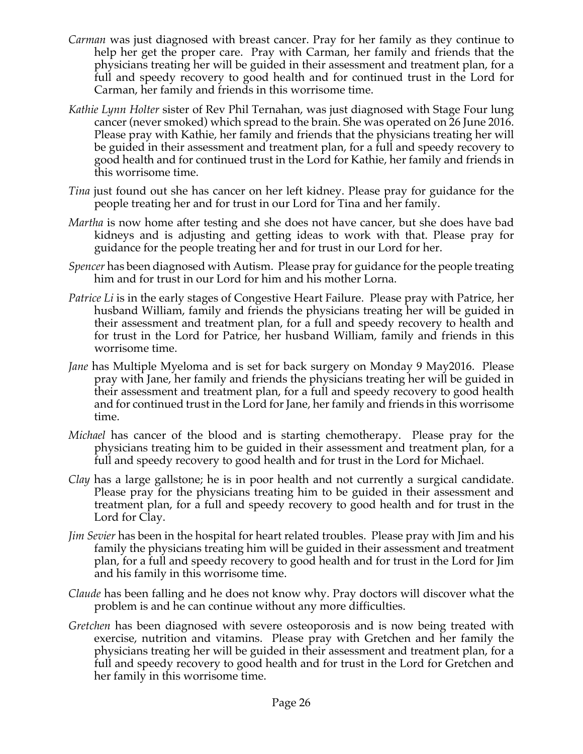- *Carman* was just diagnosed with breast cancer. Pray for her family as they continue to help her get the proper care. Pray with Carman, her family and friends that the physicians treating her will be guided in their assessment and treatment plan, for a full and speedy recovery to good health and for continued trust in the Lord for Carman, her family and friends in this worrisome time.
- *Kathie Lynn Holter* sister of Rev Phil Ternahan, was just diagnosed with Stage Four lung cancer (never smoked) which spread to the brain. She was operated on 26 June 2016. Please pray with Kathie, her family and friends that the physicians treating her will be guided in their assessment and treatment plan, for a full and speedy recovery to good health and for continued trust in the Lord for Kathie, her family and friends in this worrisome time.
- *Tina* just found out she has cancer on her left kidney. Please pray for guidance for the people treating her and for trust in our Lord for Tina and her family.
- *Martha* is now home after testing and she does not have cancer, but she does have bad kidneys and is adjusting and getting ideas to work with that. Please pray for guidance for the people treating her and for trust in our Lord for her.
- *Spencer* has been diagnosed with Autism. Please pray for guidance for the people treating him and for trust in our Lord for him and his mother Lorna.
- *Patrice Li* is in the early stages of Congestive Heart Failure. Please pray with Patrice, her husband William, family and friends the physicians treating her will be guided in their assessment and treatment plan, for a full and speedy recovery to health and for trust in the Lord for Patrice, her husband William, family and friends in this worrisome time.
- *Jane* has Multiple Myeloma and is set for back surgery on Monday 9 May2016. Please pray with Jane, her family and friends the physicians treating her will be guided in their assessment and treatment plan, for a full and speedy recovery to good health and for continued trust in the Lord for Jane, her family and friends in this worrisome time.
- *Michael* has cancer of the blood and is starting chemotherapy. Please pray for the physicians treating him to be guided in their assessment and treatment plan, for a full and speedy recovery to good health and for trust in the Lord for Michael.
- *Clay* has a large gallstone; he is in poor health and not currently a surgical candidate. Please pray for the physicians treating him to be guided in their assessment and treatment plan, for a full and speedy recovery to good health and for trust in the Lord for Clay.
- *Jim Sevier* has been in the hospital for heart related troubles. Please pray with Jim and his family the physicians treating him will be guided in their assessment and treatment plan, for a full and speedy recovery to good health and for trust in the Lord for Jim and his family in this worrisome time.
- *Claude* has been falling and he does not know why. Pray doctors will discover what the problem is and he can continue without any more difficulties.
- *Gretchen* has been diagnosed with severe osteoporosis and is now being treated with exercise, nutrition and vitamins. Please pray with Gretchen and her family the physicians treating her will be guided in their assessment and treatment plan, for a full and speedy recovery to good health and for trust in the Lord for Gretchen and her family in this worrisome time.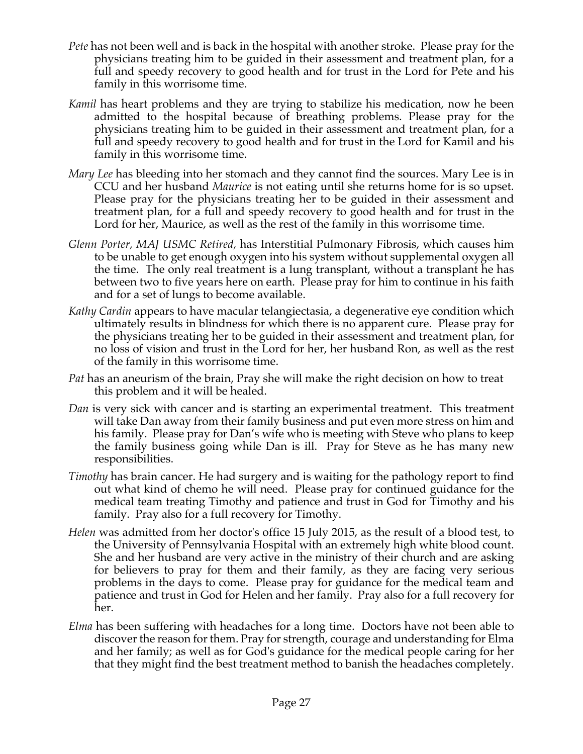- *Pete* has not been well and is back in the hospital with another stroke. Please pray for the physicians treating him to be guided in their assessment and treatment plan, for a full and speedy recovery to good health and for trust in the Lord for Pete and his family in this worrisome time.
- *Kamil* has heart problems and they are trying to stabilize his medication, now he been admitted to the hospital because of breathing problems. Please pray for the physicians treating him to be guided in their assessment and treatment plan, for a full and speedy recovery to good health and for trust in the Lord for Kamil and his family in this worrisome time.
- *Mary Lee* has bleeding into her stomach and they cannot find the sources. Mary Lee is in CCU and her husband *Maurice* is not eating until she returns home for is so upset. Please pray for the physicians treating her to be guided in their assessment and treatment plan, for a full and speedy recovery to good health and for trust in the Lord for her, Maurice, as well as the rest of the family in this worrisome time.
- *Glenn Porter, MAJ USMC Retired,* has Interstitial Pulmonary Fibrosis, which causes him to be unable to get enough oxygen into his system without supplemental oxygen all the time. The only real treatment is a lung transplant, without a transplant he has between two to five years here on earth. Please pray for him to continue in his faith and for a set of lungs to become available.
- *Kathy Cardin* appears to have macular telangiectasia, a degenerative eye condition which ultimately results in blindness for which there is no apparent cure. Please pray for the physicians treating her to be guided in their assessment and treatment plan, for no loss of vision and trust in the Lord for her, her husband Ron, as well as the rest of the family in this worrisome time.
- *Pat* has an aneurism of the brain, Pray she will make the right decision on how to treat this problem and it will be healed.
- *Dan* is very sick with cancer and is starting an experimental treatment. This treatment will take Dan away from their family business and put even more stress on him and his family. Please pray for Dan's wife who is meeting with Steve who plans to keep the family business going while Dan is ill. Pray for Steve as he has many new responsibilities.
- *Timothy* has brain cancer. He had surgery and is waiting for the pathology report to find out what kind of chemo he will need. Please pray for continued guidance for the medical team treating Timothy and patience and trust in God for Timothy and his family. Pray also for a full recovery for Timothy.
- *Helen* was admitted from her doctor's office 15 July 2015, as the result of a blood test, to the University of Pennsylvania Hospital with an extremely high white blood count. She and her husband are very active in the ministry of their church and are asking for believers to pray for them and their family, as they are facing very serious problems in the days to come. Please pray for guidance for the medical team and patience and trust in God for Helen and her family. Pray also for a full recovery for her.
- *Elma* has been suffering with headaches for a long time. Doctors have not been able to discover the reason for them. Pray for strength, courage and understanding for Elma and her family; as well as for God's guidance for the medical people caring for her that they might find the best treatment method to banish the headaches completely.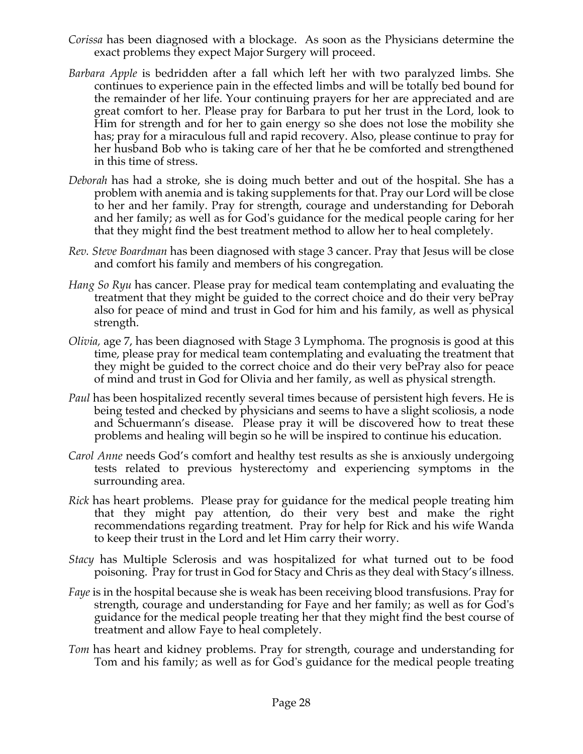- *Corissa* has been diagnosed with a blockage. As soon as the Physicians determine the exact problems they expect Major Surgery will proceed.
- *Barbara Apple* is bedridden after a fall which left her with two paralyzed limbs. She continues to experience pain in the effected limbs and will be totally bed bound for the remainder of her life. Your continuing prayers for her are appreciated and are great comfort to her. Please pray for Barbara to put her trust in the Lord, look to Him for strength and for her to gain energy so she does not lose the mobility she has; pray for a miraculous full and rapid recovery. Also, please continue to pray for her husband Bob who is taking care of her that he be comforted and strengthened in this time of stress.
- *Deborah* has had a stroke, she is doing much better and out of the hospital. She has a problem with anemia and is taking supplements for that. Pray our Lord will be close to her and her family. Pray for strength, courage and understanding for Deborah and her family; as well as for God's guidance for the medical people caring for her that they might find the best treatment method to allow her to heal completely.
- *Rev. Steve Boardman* has been diagnosed with stage 3 cancer. Pray that Jesus will be close and comfort his family and members of his congregation*.*
- *Hang So Ryu* has cancer. Please pray for medical team contemplating and evaluating the treatment that they might be guided to the correct choice and do their very bePray also for peace of mind and trust in God for him and his family, as well as physical strength.
- *Olivia,* age 7, has been diagnosed with Stage 3 Lymphoma. The prognosis is good at this time, please pray for medical team contemplating and evaluating the treatment that they might be guided to the correct choice and do their very bePray also for peace of mind and trust in God for Olivia and her family, as well as physical strength.
- *Paul* has been hospitalized recently several times because of persistent high fevers. He is being tested and checked by physicians and seems to have a slight scoliosis, a node and Schuermann's disease. Please pray it will be discovered how to treat these problems and healing will begin so he will be inspired to continue his education.
- *Carol Anne* needs God's comfort and healthy test results as she is anxiously undergoing tests related to previous hysterectomy and experiencing symptoms in the surrounding area.
- *Rick* has heart problems. Please pray for guidance for the medical people treating him that they might pay attention, do their very best and make the right recommendations regarding treatment. Pray for help for Rick and his wife Wanda to keep their trust in the Lord and let Him carry their worry.
- *Stacy* has Multiple Sclerosis and was hospitalized for what turned out to be food poisoning. Pray for trust in God for Stacy and Chris as they deal with Stacy's illness.
- *Faye* is in the hospital because she is weak has been receiving blood transfusions. Pray for strength, courage and understanding for Faye and her family; as well as for God's guidance for the medical people treating her that they might find the best course of treatment and allow Faye to heal completely.
- *Tom* has heart and kidney problems. Pray for strength, courage and understanding for Tom and his family; as well as for God's guidance for the medical people treating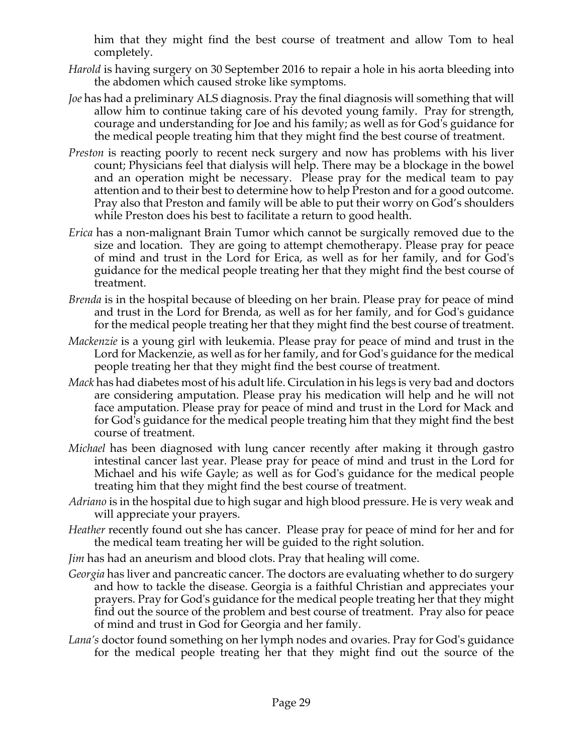him that they might find the best course of treatment and allow Tom to heal completely.

- *Harold* is having surgery on 30 September 2016 to repair a hole in his aorta bleeding into the abdomen which caused stroke like symptoms.
- *Joe* has had a preliminary ALS diagnosis. Pray the final diagnosis will something that will allow him to continue taking care of his devoted young family. Pray for strength, courage and understanding for Joe and his family; as well as for God's guidance for the medical people treating him that they might find the best course of treatment.
- *Preston* is reacting poorly to recent neck surgery and now has problems with his liver count; Physicians feel that dialysis will help. There may be a blockage in the bowel and an operation might be necessary. Please pray for the medical team to pay attention and to their best to determine how to help Preston and for a good outcome. Pray also that Preston and family will be able to put their worry on God's shoulders while Preston does his best to facilitate a return to good health.
- *Erica* has a non-malignant Brain Tumor which cannot be surgically removed due to the size and location. They are going to attempt chemotherapy. Please pray for peace of mind and trust in the Lord for Erica, as well as for her family, and for God's guidance for the medical people treating her that they might find the best course of treatment.
- *Brenda* is in the hospital because of bleeding on her brain. Please pray for peace of mind and trust in the Lord for Brenda, as well as for her family, and for God's guidance for the medical people treating her that they might find the best course of treatment.
- *Mackenzie* is a young girl with leukemia. Please pray for peace of mind and trust in the Lord for Mackenzie, as well as for her family, and for God's guidance for the medical people treating her that they might find the best course of treatment.
- *Mack* has had diabetes most of his adult life. Circulation in his legs is very bad and doctors are considering amputation. Please pray his medication will help and he will not face amputation. Please pray for peace of mind and trust in the Lord for Mack and for God's guidance for the medical people treating him that they might find the best course of treatment.
- *Michael* has been diagnosed with lung cancer recently after making it through gastro intestinal cancer last year. Please pray for peace of mind and trust in the Lord for Michael and his wife Gayle; as well as for God's guidance for the medical people treating him that they might find the best course of treatment.
- *Adriano* is in the hospital due to high sugar and high blood pressure. He is very weak and will appreciate your prayers.
- *Heather* recently found out she has cancer. Please pray for peace of mind for her and for the medical team treating her will be guided to the right solution.
- *Jim* has had an aneurism and blood clots. Pray that healing will come.
- *Georgia* has liver and pancreatic cancer. The doctors are evaluating whether to do surgery and how to tackle the disease. Georgia is a faithful Christian and appreciates your prayers. Pray for God's guidance for the medical people treating her that they might find out the source of the problem and best course of treatment. Pray also for peace of mind and trust in God for Georgia and her family.
- *Lana's* doctor found something on her lymph nodes and ovaries. Pray for God's guidance for the medical people treating her that they might find out the source of the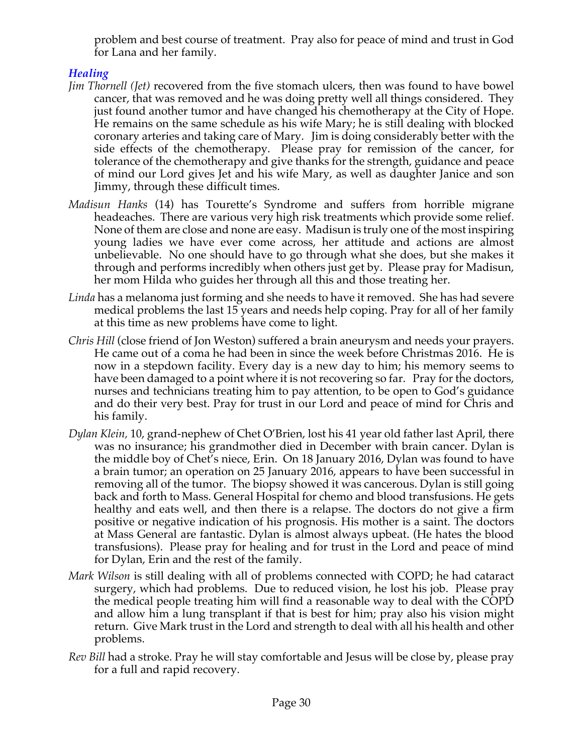problem and best course of treatment. Pray also for peace of mind and trust in God for Lana and her family.

## *Healing*

- *Jim Thornell (Jet)* recovered from the five stomach ulcers, then was found to have bowel cancer, that was removed and he was doing pretty well all things considered. They just found another tumor and have changed his chemotherapy at the City of Hope. He remains on the same schedule as his wife Mary; he is still dealing with blocked coronary arteries and taking care of Mary. Jim is doing considerably better with the side effects of the chemotherapy. Please pray for remission of the cancer, for tolerance of the chemotherapy and give thanks for the strength, guidance and peace of mind our Lord gives Jet and his wife Mary, as well as daughter Janice and son Jimmy, through these difficult times.
- *Madisun Hanks* (14) has Tourette's Syndrome and suffers from horrible migrane headeaches. There are various very high risk treatments which provide some relief. None of them are close and none are easy. Madisun is truly one of the most inspiring young ladies we have ever come across, her attitude and actions are almost unbelievable. No one should have to go through what she does, but she makes it through and performs incredibly when others just get by. Please pray for Madisun, her mom Hilda who guides her through all this and those treating her.
- *Linda* has a melanoma just forming and she needs to have it removed. She has had severe medical problems the last 15 years and needs help coping. Pray for all of her family at this time as new problems have come to light.
- *Chris Hill* (close friend of Jon Weston) suffered a brain aneurysm and needs your prayers. He came out of a coma he had been in since the week before Christmas 2016. He is now in a stepdown facility. Every day is a new day to him; his memory seems to have been damaged to a point where it is not recovering so far. Pray for the doctors, nurses and technicians treating him to pay attention, to be open to God's guidance and do their very best. Pray for trust in our Lord and peace of mind for Chris and his family.
- *Dylan Klein,* 10, grand-nephew of Chet O'Brien, lost his 41 year old father last April, there was no insurance; his grandmother died in December with brain cancer. Dylan is the middle boy of Chet's niece, Erin. On 18 January 2016, Dylan was found to have a brain tumor; an operation on 25 January 2016, appears to have been successful in removing all of the tumor. The biopsy showed it was cancerous. Dylan is still going back and forth to Mass. General Hospital for chemo and blood transfusions. He gets healthy and eats well, and then there is a relapse. The doctors do not give a firm positive or negative indication of his prognosis. His mother is a saint. The doctors at Mass General are fantastic. Dylan is almost always upbeat. (He hates the blood transfusions). Please pray for healing and for trust in the Lord and peace of mind for Dylan, Erin and the rest of the family.
- *Mark Wilson* is still dealing with all of problems connected with COPD; he had cataract surgery, which had problems. Due to reduced vision, he lost his job. Please pray the medical people treating him will find a reasonable way to deal with the COPD and allow him a lung transplant if that is best for him; pray also his vision might return. Give Mark trust in the Lord and strength to deal with all his health and other problems.
- *Rev Bill* had a stroke. Pray he will stay comfortable and Jesus will be close by, please pray for a full and rapid recovery.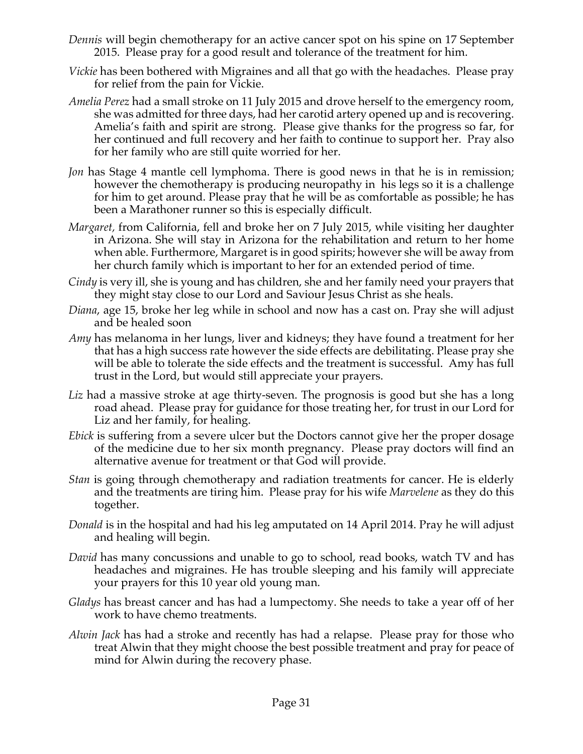- *Dennis* will begin chemotherapy for an active cancer spot on his spine on 17 September 2015. Please pray for a good result and tolerance of the treatment for him.
- *Vickie* has been bothered with Migraines and all that go with the headaches. Please pray for relief from the pain for Vickie.
- *Amelia Perez* had a small stroke on 11 July 2015 and drove herself to the emergency room, she was admitted for three days, had her carotid artery opened up and is recovering. Amelia's faith and spirit are strong. Please give thanks for the progress so far, for her continued and full recovery and her faith to continue to support her. Pray also for her family who are still quite worried for her.
- *Jon* has Stage 4 mantle cell lymphoma. There is good news in that he is in remission; however the chemotherapy is producing neuropathy in his legs so it is a challenge for him to get around. Please pray that he will be as comfortable as possible; he has been a Marathoner runner so this is especially difficult.
- *Margaret,* from California, fell and broke her on 7 July 2015, while visiting her daughter in Arizona. She will stay in Arizona for the rehabilitation and return to her home when able. Furthermore, Margaret is in good spirits; however she will be away from her church family which is important to her for an extended period of time.
- *Cindy* is very ill, she is young and has children, she and her family need your prayers that they might stay close to our Lord and Saviour Jesus Christ as she heals.
- *Diana*, age 15, broke her leg while in school and now has a cast on. Pray she will adjust and be healed soon
- *Amy* has melanoma in her lungs, liver and kidneys; they have found a treatment for her that has a high success rate however the side effects are debilitating. Please pray she will be able to tolerate the side effects and the treatment is successful. Amy has full trust in the Lord, but would still appreciate your prayers.
- Liz had a massive stroke at age thirty-seven. The prognosis is good but she has a long road ahead. Please pray for guidance for those treating her, for trust in our Lord for Liz and her family, for healing.
- *Ebick* is suffering from a severe ulcer but the Doctors cannot give her the proper dosage of the medicine due to her six month pregnancy. Please pray doctors will find an alternative avenue for treatment or that God will provide.
- *Stan* is going through chemotherapy and radiation treatments for cancer. He is elderly and the treatments are tiring him. Please pray for his wife *Marvelene* as they do this together.
- *Donald* is in the hospital and had his leg amputated on 14 April 2014. Pray he will adjust and healing will begin.
- *David* has many concussions and unable to go to school, read books, watch TV and has headaches and migraines. He has trouble sleeping and his family will appreciate your prayers for this 10 year old young man.
- *Gladys* has breast cancer and has had a lumpectomy. She needs to take a year off of her work to have chemo treatments.
- *Alwin Jack* has had a stroke and recently has had a relapse. Please pray for those who treat Alwin that they might choose the best possible treatment and pray for peace of mind for Alwin during the recovery phase.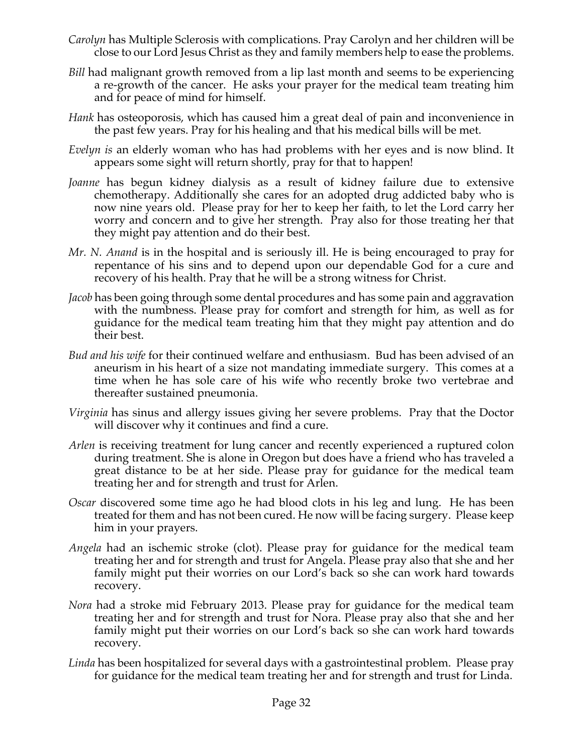- *Carolyn* has Multiple Sclerosis with complications. Pray Carolyn and her children will be close to our Lord Jesus Christ as they and family members help to ease the problems.
- *Bill* had malignant growth removed from a lip last month and seems to be experiencing a re-growth of the cancer. He asks your prayer for the medical team treating him and for peace of mind for himself.
- *Hank* has osteoporosis, which has caused him a great deal of pain and inconvenience in the past few years. Pray for his healing and that his medical bills will be met.
- *Evelyn is* an elderly woman who has had problems with her eyes and is now blind. It appears some sight will return shortly, pray for that to happen!
- *Joanne* has begun kidney dialysis as a result of kidney failure due to extensive chemotherapy. Additionally she cares for an adopted drug addicted baby who is now nine years old. Please pray for her to keep her faith, to let the Lord carry her worry and concern and to give her strength. Pray also for those treating her that they might pay attention and do their best.
- *Mr. N. Anand* is in the hospital and is seriously ill. He is being encouraged to pray for repentance of his sins and to depend upon our dependable God for a cure and recovery of his health. Pray that he will be a strong witness for Christ.
- *Jacob* has been going through some dental procedures and has some pain and aggravation with the numbness. Please pray for comfort and strength for him, as well as for guidance for the medical team treating him that they might pay attention and do their best.
- *Bud and his wife* for their continued welfare and enthusiasm. Bud has been advised of an aneurism in his heart of a size not mandating immediate surgery. This comes at a time when he has sole care of his wife who recently broke two vertebrae and thereafter sustained pneumonia.
- *Virginia* has sinus and allergy issues giving her severe problems. Pray that the Doctor will discover why it continues and find a cure.
- *Arlen* is receiving treatment for lung cancer and recently experienced a ruptured colon during treatment. She is alone in Oregon but does have a friend who has traveled a great distance to be at her side. Please pray for guidance for the medical team treating her and for strength and trust for Arlen.
- *Oscar* discovered some time ago he had blood clots in his leg and lung. He has been treated for them and has not been cured. He now will be facing surgery. Please keep him in your prayers.
- *Angela* had an ischemic stroke (clot). Please pray for guidance for the medical team treating her and for strength and trust for Angela. Please pray also that she and her family might put their worries on our Lord's back so she can work hard towards recovery.
- *Nora* had a stroke mid February 2013. Please pray for guidance for the medical team treating her and for strength and trust for Nora. Please pray also that she and her family might put their worries on our Lord's back so she can work hard towards recovery.
- *Linda* has been hospitalized for several days with a gastrointestinal problem. Please pray for guidance for the medical team treating her and for strength and trust for Linda.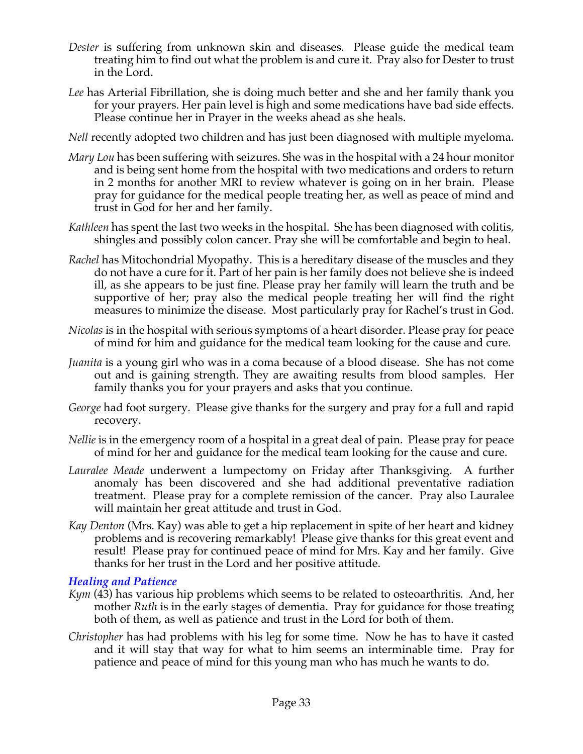- *Dester* is suffering from unknown skin and diseases. Please guide the medical team treating him to find out what the problem is and cure it. Pray also for Dester to trust in the Lord.
- *Lee* has Arterial Fibrillation, she is doing much better and she and her family thank you for your prayers. Her pain level is high and some medications have bad side effects. Please continue her in Prayer in the weeks ahead as she heals.
- *Nell* recently adopted two children and has just been diagnosed with multiple myeloma.
- *Mary Lou* has been suffering with seizures. She was in the hospital with a 24 hour monitor and is being sent home from the hospital with two medications and orders to return in 2 months for another MRI to review whatever is going on in her brain. Please pray for guidance for the medical people treating her, as well as peace of mind and trust in God for her and her family.
- *Kathleen* has spent the last two weeks in the hospital. She has been diagnosed with colitis, shingles and possibly colon cancer. Pray she will be comfortable and begin to heal.
- *Rachel* has Mitochondrial Myopathy. This is a hereditary disease of the muscles and they do not have a cure for it. Part of her pain is her family does not believe she is indeed ill, as she appears to be just fine. Please pray her family will learn the truth and be supportive of her; pray also the medical people treating her will find the right measures to minimize the disease. Most particularly pray for Rachel's trust in God.
- *Nicolas* is in the hospital with serious symptoms of a heart disorder. Please pray for peace of mind for him and guidance for the medical team looking for the cause and cure.
- *Juanita* is a young girl who was in a coma because of a blood disease. She has not come out and is gaining strength. They are awaiting results from blood samples. Her family thanks you for your prayers and asks that you continue.
- *George* had foot surgery. Please give thanks for the surgery and pray for a full and rapid recovery.
- *Nellie* is in the emergency room of a hospital in a great deal of pain. Please pray for peace of mind for her and guidance for the medical team looking for the cause and cure.
- *Lauralee Meade* underwent a lumpectomy on Friday after Thanksgiving. A further anomaly has been discovered and she had additional preventative radiation treatment. Please pray for a complete remission of the cancer. Pray also Lauralee will maintain her great attitude and trust in God.
- *Kay Denton* (Mrs. Kay) was able to get a hip replacement in spite of her heart and kidney problems and is recovering remarkably! Please give thanks for this great event and result! Please pray for continued peace of mind for Mrs. Kay and her family. Give thanks for her trust in the Lord and her positive attitude.

### *Healing and Patience*

- *Kym* (43) has various hip problems which seems to be related to osteoarthritis. And, her mother *Ruth* is in the early stages of dementia. Pray for guidance for those treating both of them, as well as patience and trust in the Lord for both of them.
- *Christopher* has had problems with his leg for some time. Now he has to have it casted and it will stay that way for what to him seems an interminable time. Pray for patience and peace of mind for this young man who has much he wants to do.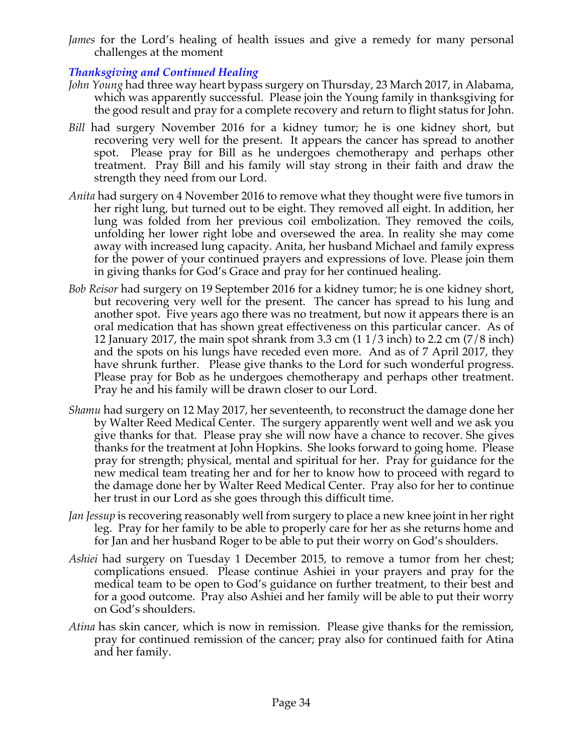*James* for the Lord's healing of health issues and give a remedy for many personal challenges at the moment

## *Thanksgiving and Continued Healing*

- *John Young* had three way heart bypass surgery on Thursday, 23 March 2017, in Alabama, which was apparently successful. Please join the Young family in thanksgiving for the good result and pray for a complete recovery and return to flight status for John.
- *Bill* had surgery November 2016 for a kidney tumor; he is one kidney short, but recovering very well for the present. It appears the cancer has spread to another spot. Please pray for Bill as he undergoes chemotherapy and perhaps other treatment. Pray Bill and his family will stay strong in their faith and draw the strength they need from our Lord.
- *Anita* had surgery on 4 November 2016 to remove what they thought were five tumors in her right lung, but turned out to be eight. They removed all eight. In addition, her lung was folded from her previous coil embolization. They removed the coils, unfolding her lower right lobe and oversewed the area. In reality she may come away with increased lung capacity. Anita, her husband Michael and family express for the power of your continued prayers and expressions of love. Please join them in giving thanks for God's Grace and pray for her continued healing.
- *Bob Reisor* had surgery on 19 September 2016 for a kidney tumor; he is one kidney short, but recovering very well for the present. The cancer has spread to his lung and another spot. Five years ago there was no treatment, but now it appears there is an oral medication that has shown great effectiveness on this particular cancer. As of 12 January 2017, the main spot shrank from 3.3 cm (1 1/3 inch) to 2.2 cm (7/8 inch) and the spots on his lungs have receded even more. And as of 7 April 2017, they have shrunk further. Please give thanks to the Lord for such wonderful progress. Please pray for Bob as he undergoes chemotherapy and perhaps other treatment. Pray he and his family will be drawn closer to our Lord.
- *Shamu* had surgery on 12 May 2017, her seventeenth, to reconstruct the damage done her by Walter Reed Medical Center. The surgery apparently went well and we ask you give thanks for that. Please pray she will now have a chance to recover. She gives thanks for the treatment at John Hopkins. She looks forward to going home. Please pray for strength; physical, mental and spiritual for her. Pray for guidance for the new medical team treating her and for her to know how to proceed with regard to the damage done her by Walter Reed Medical Center. Pray also for her to continue her trust in our Lord as she goes through this difficult time.
- *Jan Jessup* is recovering reasonably well from surgery to place a new knee joint in her right leg. Pray for her family to be able to properly care for her as she returns home and for Jan and her husband Roger to be able to put their worry on God's shoulders.
- *Ashiei* had surgery on Tuesday 1 December 2015, to remove a tumor from her chest; complications ensued. Please continue Ashiei in your prayers and pray for the medical team to be open to God's guidance on further treatment, to their best and for a good outcome. Pray also Ashiei and her family will be able to put their worry on God's shoulders.
- *Atina* has skin cancer, which is now in remission. Please give thanks for the remission, pray for continued remission of the cancer; pray also for continued faith for Atina and her family.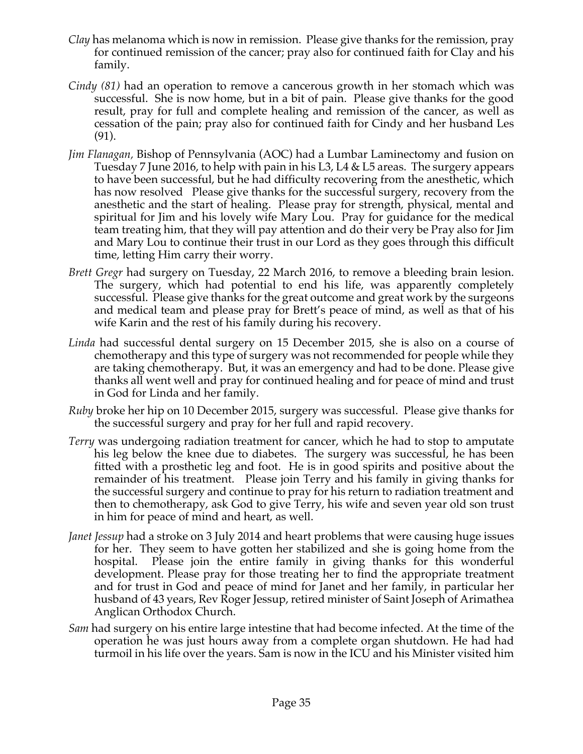- *Clay* has melanoma which is now in remission. Please give thanks for the remission, pray for continued remission of the cancer; pray also for continued faith for Clay and his family.
- *Cindy (81)* had an operation to remove a cancerous growth in her stomach which was successful. She is now home, but in a bit of pain. Please give thanks for the good result, pray for full and complete healing and remission of the cancer, as well as cessation of the pain; pray also for continued faith for Cindy and her husband Les (91).
- *Jim Flanagan,* Bishop of Pennsylvania (AOC) had a Lumbar Laminectomy and fusion on Tuesday 7 June 2016, to help with pain in his L3, L4 & L5 areas. The surgery appears to have been successful, but he had difficulty recovering from the anesthetic, which has now resolved Please give thanks for the successful surgery, recovery from the anesthetic and the start of healing. Please pray for strength, physical, mental and spiritual for Jim and his lovely wife Mary Lou. Pray for guidance for the medical team treating him, that they will pay attention and do their very be Pray also for Jim and Mary Lou to continue their trust in our Lord as they goes through this difficult time, letting Him carry their worry.
- *Brett Gregr* had surgery on Tuesday, 22 March 2016, to remove a bleeding brain lesion. The surgery, which had potential to end his life, was apparently completely successful. Please give thanks for the great outcome and great work by the surgeons and medical team and please pray for Brett's peace of mind, as well as that of his wife Karin and the rest of his family during his recovery.
- *Linda* had successful dental surgery on 15 December 2015, she is also on a course of chemotherapy and this type of surgery was not recommended for people while they are taking chemotherapy. But, it was an emergency and had to be done. Please give thanks all went well and pray for continued healing and for peace of mind and trust in God for Linda and her family.
- *Ruby* broke her hip on 10 December 2015, surgery was successful. Please give thanks for the successful surgery and pray for her full and rapid recovery.
- *Terry* was undergoing radiation treatment for cancer, which he had to stop to amputate his leg below the knee due to diabetes. The surgery was successful, he has been fitted with a prosthetic leg and foot. He is in good spirits and positive about the remainder of his treatment. Please join Terry and his family in giving thanks for the successful surgery and continue to pray for his return to radiation treatment and then to chemotherapy, ask God to give Terry, his wife and seven year old son trust in him for peace of mind and heart, as well.
- *Janet Jessup* had a stroke on 3 July 2014 and heart problems that were causing huge issues for her. They seem to have gotten her stabilized and she is going home from the hospital. Please join the entire family in giving thanks for this wonderful development. Please pray for those treating her to find the appropriate treatment and for trust in God and peace of mind for Janet and her family, in particular her husband of 43 years, Rev Roger Jessup, retired minister of Saint Joseph of Arimathea Anglican Orthodox Church.
- *Sam* had surgery on his entire large intestine that had become infected. At the time of the operation he was just hours away from a complete organ shutdown. He had had turmoil in his life over the years. Sam is now in the ICU and his Minister visited him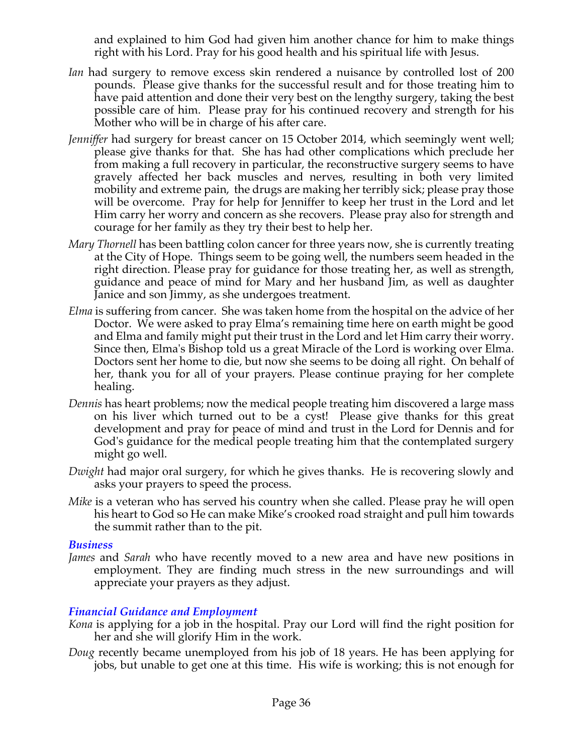and explained to him God had given him another chance for him to make things right with his Lord. Pray for his good health and his spiritual life with Jesus.

- *Ian* had surgery to remove excess skin rendered a nuisance by controlled lost of 200 pounds. Please give thanks for the successful result and for those treating him to have paid attention and done their very best on the lengthy surgery, taking the best possible care of him. Please pray for his continued recovery and strength for his Mother who will be in charge of his after care.
- *Jenniffer* had surgery for breast cancer on 15 October 2014, which seemingly went well; please give thanks for that. She has had other complications which preclude her from making a full recovery in particular, the reconstructive surgery seems to have gravely affected her back muscles and nerves, resulting in both very limited mobility and extreme pain, the drugs are making her terribly sick; please pray those will be overcome. Pray for help for Jenniffer to keep her trust in the Lord and let Him carry her worry and concern as she recovers. Please pray also for strength and courage for her family as they try their best to help her.
- *Mary Thornell* has been battling colon cancer for three years now, she is currently treating at the City of Hope. Things seem to be going well, the numbers seem headed in the right direction. Please pray for guidance for those treating her, as well as strength, guidance and peace of mind for Mary and her husband Jim, as well as daughter Janice and son Jimmy, as she undergoes treatment.
- *Elma* is suffering from cancer. She was taken home from the hospital on the advice of her Doctor. We were asked to pray Elma's remaining time here on earth might be good and Elma and family might put their trust in the Lord and let Him carry their worry. Since then, Elma's Bishop told us a great Miracle of the Lord is working over Elma. Doctors sent her home to die, but now she seems to be doing all right. On behalf of her, thank you for all of your prayers. Please continue praying for her complete healing.
- *Dennis* has heart problems; now the medical people treating him discovered a large mass on his liver which turned out to be a cyst! Please give thanks for this great development and pray for peace of mind and trust in the Lord for Dennis and for God's guidance for the medical people treating him that the contemplated surgery might go well.
- *Dwight* had major oral surgery, for which he gives thanks. He is recovering slowly and asks your prayers to speed the process.
- *Mike* is a veteran who has served his country when she called. Please pray he will open his heart to God so He can make Mike's crooked road straight and pull him towards the summit rather than to the pit.

### *Business*

*James* and *Sarah* who have recently moved to a new area and have new positions in employment. They are finding much stress in the new surroundings and will appreciate your prayers as they adjust.

## *Financial Guidance and Employment*

- *Kona* is applying for a job in the hospital. Pray our Lord will find the right position for her and she will glorify Him in the work.
- *Doug* recently became unemployed from his job of 18 years. He has been applying for jobs, but unable to get one at this time. His wife is working; this is not enough for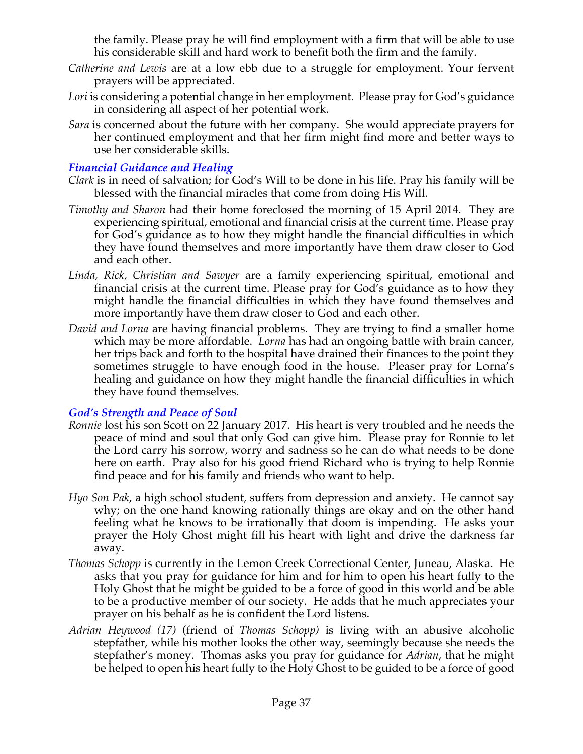the family. Please pray he will find employment with a firm that will be able to use his considerable skill and hard work to benefit both the firm and the family.

- *Catherine and Lewis* are at a low ebb due to a struggle for employment. Your fervent prayers will be appreciated.
- *Lori* is considering a potential change in her employment. Please pray for God's guidance in considering all aspect of her potential work.
- *Sara* is concerned about the future with her company. She would appreciate prayers for her continued employment and that her firm might find more and better ways to use her considerable skills.

### *Financial Guidance and Healing*

- *Clark* is in need of salvation; for God's Will to be done in his life. Pray his family will be blessed with the financial miracles that come from doing His Will.
- *Timothy and Sharon* had their home foreclosed the morning of 15 April 2014. They are experiencing spiritual, emotional and financial crisis at the current time. Please pray for God's guidance as to how they might handle the financial difficulties in which they have found themselves and more importantly have them draw closer to God and each other.
- *Linda, Rick, Christian and Sawyer* are a family experiencing spiritual, emotional and financial crisis at the current time. Please pray for God's guidance as to how they might handle the financial difficulties in which they have found themselves and more importantly have them draw closer to God and each other.
- *David and Lorna* are having financial problems. They are trying to find a smaller home which may be more affordable. *Lorna* has had an ongoing battle with brain cancer, her trips back and forth to the hospital have drained their finances to the point they sometimes struggle to have enough food in the house. Pleaser pray for Lorna's healing and guidance on how they might handle the financial difficulties in which they have found themselves.

## *God's Strength and Peace of Soul*

- *Ronnie* lost his son Scott on 22 January 2017. His heart is very troubled and he needs the peace of mind and soul that only God can give him. Please pray for Ronnie to let the Lord carry his sorrow, worry and sadness so he can do what needs to be done here on earth. Pray also for his good friend Richard who is trying to help Ronnie find peace and for his family and friends who want to help.
- *Hyo Son Pak*, a high school student, suffers from depression and anxiety. He cannot say why; on the one hand knowing rationally things are okay and on the other hand feeling what he knows to be irrationally that doom is impending. He asks your prayer the Holy Ghost might fill his heart with light and drive the darkness far away.
- *Thomas Schopp* is currently in the Lemon Creek Correctional Center, Juneau, Alaska. He asks that you pray for guidance for him and for him to open his heart fully to the Holy Ghost that he might be guided to be a force of good in this world and be able to be a productive member of our society. He adds that he much appreciates your prayer on his behalf as he is confident the Lord listens.
- *Adrian Heywood (17)* (friend of *Thomas Schopp)* is living with an abusive alcoholic stepfather, while his mother looks the other way, seemingly because she needs the stepfather's money. Thomas asks you pray for guidance for *Adrian*, that he might be helped to open his heart fully to the Holy Ghost to be guided to be a force of good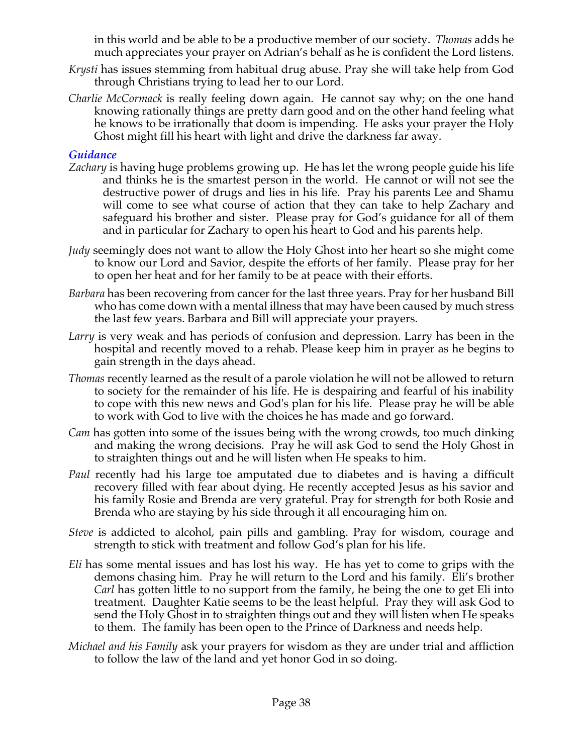in this world and be able to be a productive member of our society. *Thomas* adds he much appreciates your prayer on Adrian's behalf as he is confident the Lord listens.

- *Krysti* has issues stemming from habitual drug abuse. Pray she will take help from God through Christians trying to lead her to our Lord.
- *Charlie McCormack* is really feeling down again. He cannot say why; on the one hand knowing rationally things are pretty darn good and on the other hand feeling what he knows to be irrationally that doom is impending. He asks your prayer the Holy Ghost might fill his heart with light and drive the darkness far away.

### *Guidance*

- *Zachary* is having huge problems growing up. He has let the wrong people guide his life and thinks he is the smartest person in the world. He cannot or will not see the destructive power of drugs and lies in his life. Pray his parents Lee and Shamu will come to see what course of action that they can take to help Zachary and safeguard his brother and sister. Please pray for God's guidance for all of them and in particular for Zachary to open his heart to God and his parents help.
- *Judy* seemingly does not want to allow the Holy Ghost into her heart so she might come to know our Lord and Savior, despite the efforts of her family. Please pray for her to open her heat and for her family to be at peace with their efforts.
- *Barbara* has been recovering from cancer for the last three years. Pray for her husband Bill who has come down with a mental illness that may have been caused by much stress the last few years. Barbara and Bill will appreciate your prayers.
- *Larry* is very weak and has periods of confusion and depression. Larry has been in the hospital and recently moved to a rehab. Please keep him in prayer as he begins to gain strength in the days ahead.
- *Thomas* recently learned as the result of a parole violation he will not be allowed to return to society for the remainder of his life. He is despairing and fearful of his inability to cope with this new news and God's plan for his life. Please pray he will be able to work with God to live with the choices he has made and go forward.
- *Cam* has gotten into some of the issues being with the wrong crowds, too much dinking and making the wrong decisions. Pray he will ask God to send the Holy Ghost in to straighten things out and he will listen when He speaks to him.
- *Paul* recently had his large toe amputated due to diabetes and is having a difficult recovery filled with fear about dying. He recently accepted Jesus as his savior and his family Rosie and Brenda are very grateful. Pray for strength for both Rosie and Brenda who are staying by his side through it all encouraging him on.
- *Steve* is addicted to alcohol, pain pills and gambling. Pray for wisdom, courage and strength to stick with treatment and follow God's plan for his life.
- *Eli* has some mental issues and has lost his way. He has yet to come to grips with the demons chasing him. Pray he will return to the Lord and his family. Eli's brother *Carl* has gotten little to no support from the family, he being the one to get Eli into treatment. Daughter Katie seems to be the least helpful. Pray they will ask God to send the Holy Ghost in to straighten things out and they will listen when He speaks to them. The family has been open to the Prince of Darkness and needs help.
- *Michael and his Family* ask your prayers for wisdom as they are under trial and affliction to follow the law of the land and yet honor God in so doing.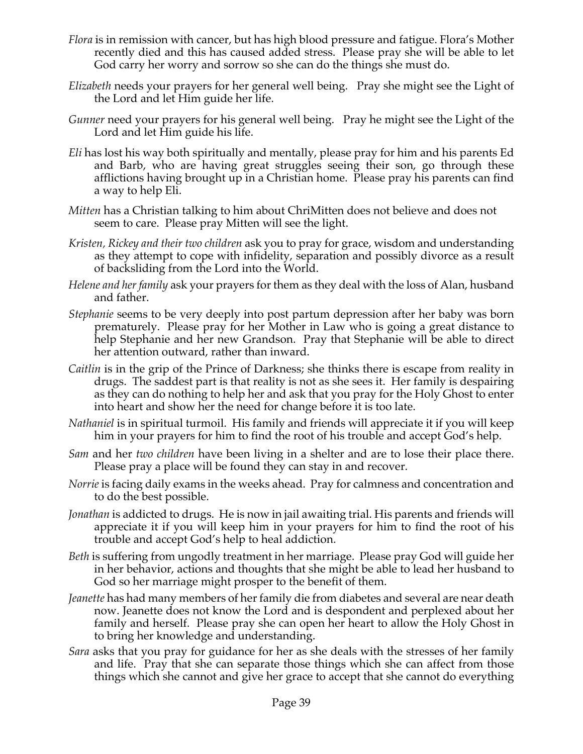- *Flora* is in remission with cancer, but has high blood pressure and fatigue. Flora's Mother recently died and this has caused added stress. Please pray she will be able to let God carry her worry and sorrow so she can do the things she must do.
- *Elizabeth* needs your prayers for her general well being. Pray she might see the Light of the Lord and let Him guide her life.
- *Gunner* need your prayers for his general well being. Pray he might see the Light of the Lord and let Him guide his life.
- *Eli* has lost his way both spiritually and mentally, please pray for him and his parents Ed and Barb, who are having great struggles seeing their son, go through these afflictions having brought up in a Christian home. Please pray his parents can find a way to help Eli.
- *Mitten* has a Christian talking to him about ChriMitten does not believe and does not seem to care. Please pray Mitten will see the light.
- *Kristen, Rickey and their two children* ask you to pray for grace, wisdom and understanding as they attempt to cope with infidelity, separation and possibly divorce as a result of backsliding from the Lord into the World.
- *Helene and her family* ask your prayers for them as they deal with the loss of Alan, husband and father.
- *Stephanie* seems to be very deeply into post partum depression after her baby was born prematurely. Please pray for her Mother in Law who is going a great distance to help Stephanie and her new Grandson. Pray that Stephanie will be able to direct her attention outward, rather than inward.
- *Caitlin* is in the grip of the Prince of Darkness; she thinks there is escape from reality in drugs. The saddest part is that reality is not as she sees it. Her family is despairing as they can do nothing to help her and ask that you pray for the Holy Ghost to enter into heart and show her the need for change before it is too late.
- *Nathaniel* is in spiritual turmoil. His family and friends will appreciate it if you will keep him in your prayers for him to find the root of his trouble and accept God's help.
- *Sam* and her *two children* have been living in a shelter and are to lose their place there. Please pray a place will be found they can stay in and recover.
- *Norrie* is facing daily exams in the weeks ahead. Pray for calmness and concentration and to do the best possible.
- *Jonathan* is addicted to drugs. He is now in jail awaiting trial. His parents and friends will appreciate it if you will keep him in your prayers for him to find the root of his trouble and accept God's help to heal addiction.
- *Beth* is suffering from ungodly treatment in her marriage. Please pray God will guide her in her behavior, actions and thoughts that she might be able to lead her husband to God so her marriage might prosper to the benefit of them.
- *Jeanette* has had many members of her family die from diabetes and several are near death now. Jeanette does not know the Lord and is despondent and perplexed about her family and herself. Please pray she can open her heart to allow the Holy Ghost in to bring her knowledge and understanding.
- *Sara* asks that you pray for guidance for her as she deals with the stresses of her family and life. Pray that she can separate those things which she can affect from those things which she cannot and give her grace to accept that she cannot do everything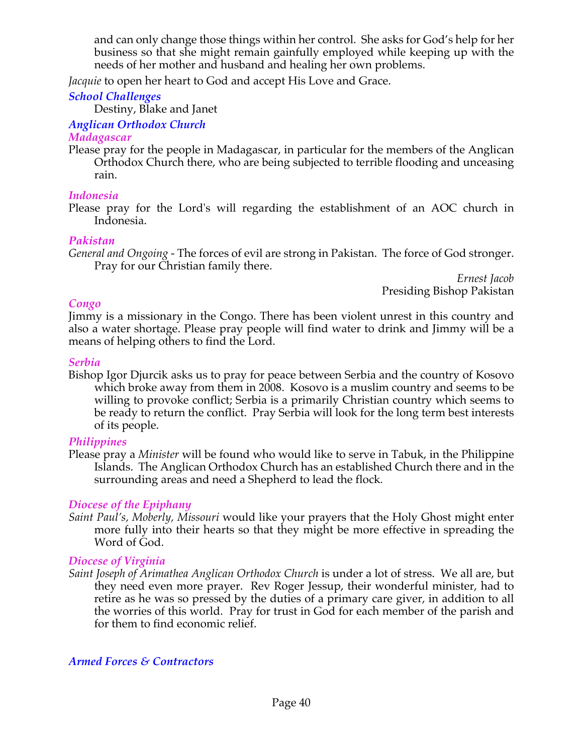and can only change those things within her control. She asks for God's help for her business so that she might remain gainfully employed while keeping up with the needs of her mother and husband and healing her own problems.

*Jacquie* to open her heart to God and accept His Love and Grace.

### *School Challenges*

Destiny, Blake and Janet

### *Anglican Orthodox Church*

#### *Madagascar*

Please pray for the people in Madagascar, in particular for the members of the Anglican Orthodox Church there, who are being subjected to terrible flooding and unceasing rain.

### *Indonesia*

Please pray for the Lord's will regarding the establishment of an AOC church in Indonesia.

### *Pakistan*

*General and Ongoing -* The forces of evil are strong in Pakistan. The force of God stronger. Pray for our Christian family there.

*Ernest Jacob* Presiding Bishop Pakistan

### *Congo*

Jimmy is a missionary in the Congo. There has been violent unrest in this country and also a water shortage. Please pray people will find water to drink and Jimmy will be a means of helping others to find the Lord.

### *Serbia*

Bishop Igor Djurcik asks us to pray for peace between Serbia and the country of Kosovo which broke away from them in 2008. Kosovo is a muslim country and seems to be willing to provoke conflict; Serbia is a primarily Christian country which seems to be ready to return the conflict. Pray Serbia will look for the long term best interests of its people.

## *Philippines*

Please pray a *Minister* will be found who would like to serve in Tabuk, in the Philippine Islands. The Anglican Orthodox Church has an established Church there and in the surrounding areas and need a Shepherd to lead the flock*.*

## *Diocese of the Epiphany*

*Saint Paul's, Moberly, Missouri* would like your prayers that the Holy Ghost might enter more fully into their hearts so that they might be more effective in spreading the Word of God.

## *Diocese of Virginia*

*Saint Joseph of Arimathea Anglican Orthodox Church* is under a lot of stress. We all are, but they need even more prayer. Rev Roger Jessup, their wonderful minister, had to retire as he was so pressed by the duties of a primary care giver, in addition to all the worries of this world. Pray for trust in God for each member of the parish and for them to find economic relief.

*Armed Forces & Contractors*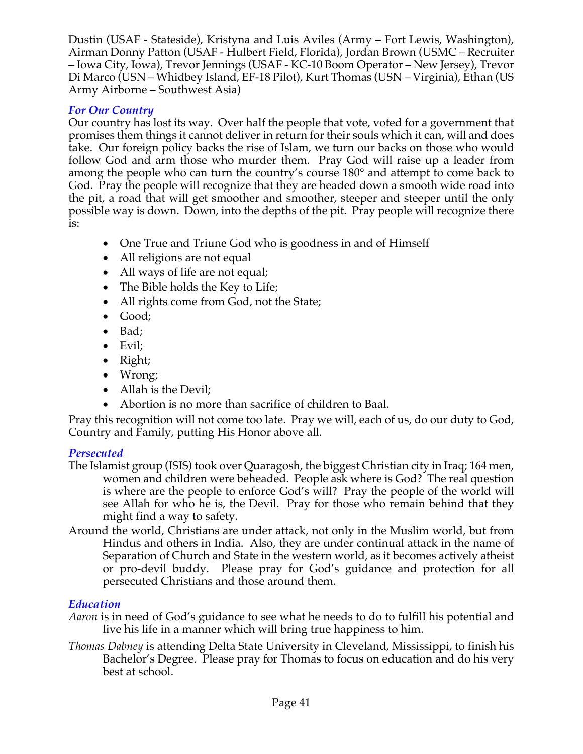Dustin (USAF - Stateside), Kristyna and Luis Aviles (Army – Fort Lewis, Washington), Airman Donny Patton (USAF - Hulbert Field, Florida), Jordan Brown (USMC – Recruiter – Iowa City, Iowa), Trevor Jennings (USAF - KC-10 Boom Operator – New Jersey), Trevor Di Marco (USN – Whidbey Island, EF-18 Pilot), Kurt Thomas (USN – Virginia), Ethan (US Army Airborne – Southwest Asia)

## *For Our Country*

Our country has lost its way. Over half the people that vote, voted for a government that promises them things it cannot deliver in return for their souls which it can, will and does take. Our foreign policy backs the rise of Islam, we turn our backs on those who would follow God and arm those who murder them. Pray God will raise up a leader from among the people who can turn the country's course 180° and attempt to come back to God. Pray the people will recognize that they are headed down a smooth wide road into the pit, a road that will get smoother and smoother, steeper and steeper until the only possible way is down. Down, into the depths of the pit. Pray people will recognize there is:

- One True and Triune God who is goodness in and of Himself
- All religions are not equal
- All ways of life are not equal;
- The Bible holds the Key to Life;
- All rights come from God, not the State;
- Good;
- Bad;
- Evil;
- Right;
- Wrong;
- Allah is the Devil:
- Abortion is no more than sacrifice of children to Baal.

Pray this recognition will not come too late. Pray we will, each of us, do our duty to God, Country and Family, putting His Honor above all.

## *Persecuted*

- The Islamist group (ISIS) took over Quaragosh, the biggest Christian city in Iraq; 164 men, women and children were beheaded. People ask where is God? The real question is where are the people to enforce God's will? Pray the people of the world will see Allah for who he is, the Devil. Pray for those who remain behind that they might find a way to safety.
- Around the world, Christians are under attack, not only in the Muslim world, but from Hindus and others in India. Also, they are under continual attack in the name of Separation of Church and State in the western world, as it becomes actively atheist or pro-devil buddy. Please pray for God's guidance and protection for all persecuted Christians and those around them.

## *Education*

- *Aaron* is in need of God's guidance to see what he needs to do to fulfill his potential and live his life in a manner which will bring true happiness to him.
- *Thomas Dabney* is attending Delta State University in Cleveland, Mississippi, to finish his Bachelor's Degree. Please pray for Thomas to focus on education and do his very best at school.